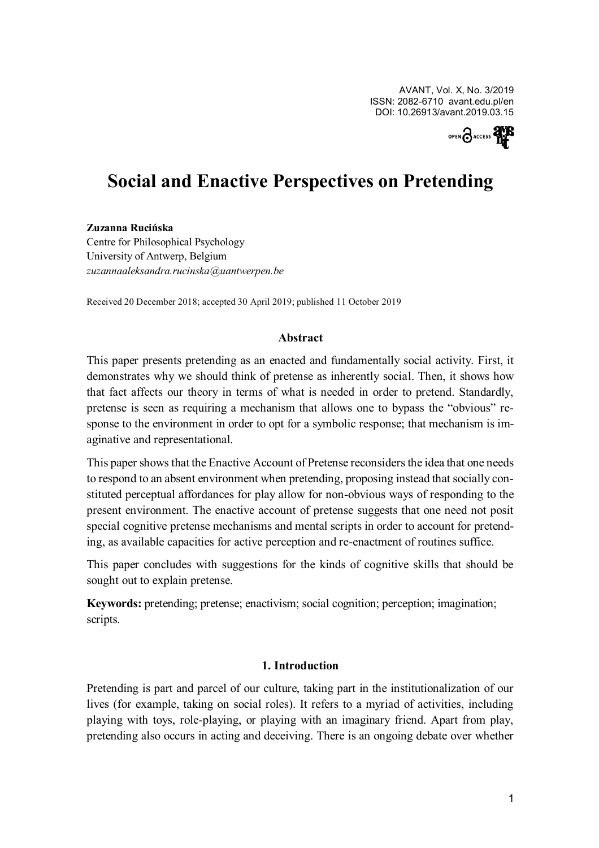AVANT, Vol. X, No. 3/2019 ISSN: 2082-6710 avant.edu.pl/en DOI: 10.26913/avant.2019.03.15



# **Social and Enactive Perspectives on Pretending**

#### **Zuzanna Rucinska**

Centre for Philosophical Psychology University of Antwerp, Belgium *zuzannaaleksandra.rucinska@uantwerpen.be*

Received 20 December 2018; accepted 30 April 2019; published 11 October 2019

#### **Abstract**

This paper presents pretending as an enacted and fundamentally social activity. First, it demonstrates why we should think of pretense as inherently social. Then, it shows how that fact affects our theory in terms of what is needed in order to pretend. Standardly, pretense is seen as requiring a mechanism that allows one to bypass the "obvious" response to the environment in order to opt for a symbolic response; that mechanism is imaginative and representational.

This paper shows that the Enactive Account of Pretense reconsiders the idea that one needs to respond to an absent environment when pretending, proposing instead that socially constituted perceptual affordances for play allow for non-obvious ways of responding to the present environment. The enactive account of pretense suggests that one need not posit special cognitive pretense mechanisms and mental scripts in order to account for pretending, as available capacities for active perception and re-enactment of routines suffice.

This paper concludes with suggestions for the kinds of cognitive skills that should be sought out to explain pretense.

**Keywords:** pretending; pretense; enactivism; social cognition; perception; imagination; scripts.

## **1. Introduction**

Pretending is part and parcel of our culture, taking part in the institutionalization of our lives (for example, taking on social roles). It refers to a myriad of activities, including playing with toys, role-playing, or playing with an imaginary friend. Apart from play, pretending also occurs in acting and deceiving. There is an ongoing debate over whether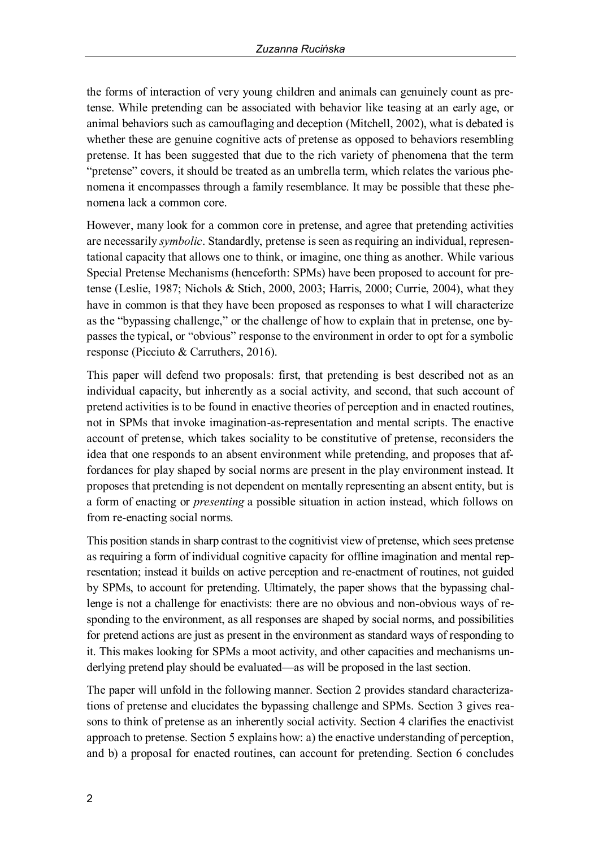the forms of interaction of very young children and animals can genuinely count as pretense. While pretending can be associated with behavior like teasing at an early age, or animal behaviors such as camouflaging and deception (Mitchell, 2002), what is debated is whether these are genuine cognitive acts of pretense as opposed to behaviors resembling pretense. It has been suggested that due to the rich variety of phenomena that the term "pretense" covers, it should be treated as an umbrella term, which relates the various phenomena it encompasses through a family resemblance. It may be possible that these phenomena lack a common core.

However, many look for a common core in pretense, and agree that pretending activities are necessarily *symbolic*. Standardly, pretense is seen as requiring an individual, representational capacity that allows one to think, or imagine, one thing as another. While various Special Pretense Mechanisms (henceforth: SPMs) have been proposed to account for pretense (Leslie, 1987; Nichols & Stich, 2000, 2003; Harris, 2000; Currie, 2004), what they have in common is that they have been proposed as responses to what I will characterize as the "bypassing challenge," or the challenge of how to explain that in pretense, one bypasses the typical, or "obvious" response to the environment in order to opt for a symbolic response (Picciuto & Carruthers, 2016).

This paper will defend two proposals: first, that pretending is best described not as an individual capacity, but inherently as a social activity, and second, that such account of pretend activities is to be found in enactive theories of perception and in enacted routines, not in SPMs that invoke imagination-as-representation and mental scripts. The enactive account of pretense, which takes sociality to be constitutive of pretense, reconsiders the idea that one responds to an absent environment while pretending, and proposes that affordances for play shaped by social norms are present in the play environment instead. It proposes that pretending is not dependent on mentally representing an absent entity, but is a form of enacting or *presenting* a possible situation in action instead, which follows on from re-enacting social norms.

This position stands in sharp contrast to the cognitivist view of pretense, which sees pretense as requiring a form of individual cognitive capacity for offline imagination and mental representation; instead it builds on active perception and re-enactment of routines, not guided by SPMs, to account for pretending. Ultimately, the paper shows that the bypassing challenge is not a challenge for enactivists: there are no obvious and non-obvious ways of responding to the environment, as all responses are shaped by social norms, and possibilities for pretend actions are just as present in the environment as standard ways of responding to it. This makes looking for SPMs a moot activity, and other capacities and mechanisms underlying pretend play should be evaluated—as will be proposed in the last section.

The paper will unfold in the following manner. Section 2 provides standard characterizations of pretense and elucidates the bypassing challenge and SPMs. Section 3 gives reasons to think of pretense as an inherently social activity. Section 4 clarifies the enactivist approach to pretense. Section 5 explains how: a) the enactive understanding of perception, and b) a proposal for enacted routines, can account for pretending. Section 6 concludes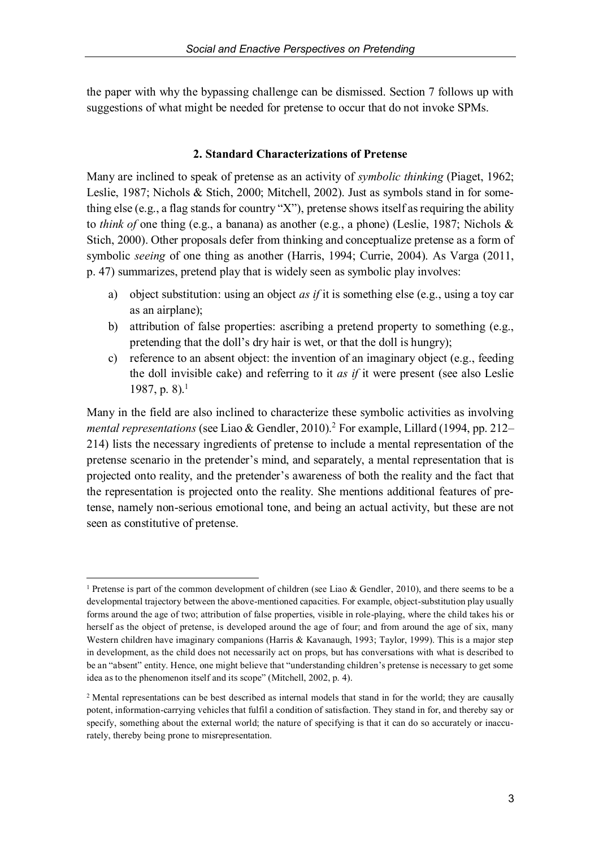the paper with why the bypassing challenge can be dismissed. Section 7 follows up with suggestions of what might be needed for pretense to occur that do not invoke SPMs.

### **2. Standard Characterizations of Pretense**

Many are inclined to speak of pretense as an activity of *symbolic thinking* (Piaget, 1962; Leslie, 1987; Nichols & Stich, 2000; Mitchell, 2002). Just as symbols stand in for something else (e.g., a flag stands for country "X"), pretense shows itself as requiring the ability to *think of* one thing (e.g., a banana) as another (e.g., a phone) (Leslie, 1987; Nichols & Stich, 2000). Other proposals defer from thinking and conceptualize pretense as a form of symbolic *seeing* of one thing as another (Harris, 1994; Currie, 2004). As Varga (2011, p. 47) summarizes, pretend play that is widely seen as symbolic play involves:

- a) object substitution: using an object *as if* it is something else (e.g., using a toy car as an airplane);
- b) attribution of false properties: ascribing a pretend property to something (e.g., pretending that the doll's dry hair is wet, or that the doll is hungry);
- c) reference to an absent object: the invention of an imaginary object (e.g., feeding the doll invisible cake) and referring to it *as if* it were present (see also Leslie 1987, p. 8).<sup>1</sup>

Many in the field are also inclined to characterize these symbolic activities as involving *mental representations* (see Liao & Gendler, 2010).2 For example, Lillard (1994, pp. 212– 214) lists the necessary ingredients of pretense to include a mental representation of the pretense scenario in the pretender's mind, and separately, a mental representation that is projected onto reality, and the pretender's awareness of both the reality and the fact that the representation is projected onto the reality. She mentions additional features of pretense, namely non-serious emotional tone, and being an actual activity, but these are not seen as constitutive of pretense.

<sup>&</sup>lt;sup>1</sup> Pretense is part of the common development of children (see Liao & Gendler, 2010), and there seems to be a developmental trajectory between the above-mentioned capacities. For example, object-substitution play usually forms around the age of two; attribution of false properties, visible in role-playing, where the child takes his or herself as the object of pretense, is developed around the age of four; and from around the age of six, many Western children have imaginary companions (Harris & Kavanaugh, 1993; Taylor, 1999). This is a major step in development, as the child does not necessarily act on props, but has conversations with what is described to be an "absent" entity. Hence, one might believe that "understanding children's pretense is necessary to get some idea as to the phenomenon itself and its scope" (Mitchell, 2002, p. 4).

<sup>2</sup> Mental representations can be best described as internal models that stand in for the world; they are causally potent, information-carrying vehicles that fulfil a condition of satisfaction. They stand in for, and thereby say or specify, something about the external world; the nature of specifying is that it can do so accurately or inaccurately, thereby being prone to misrepresentation.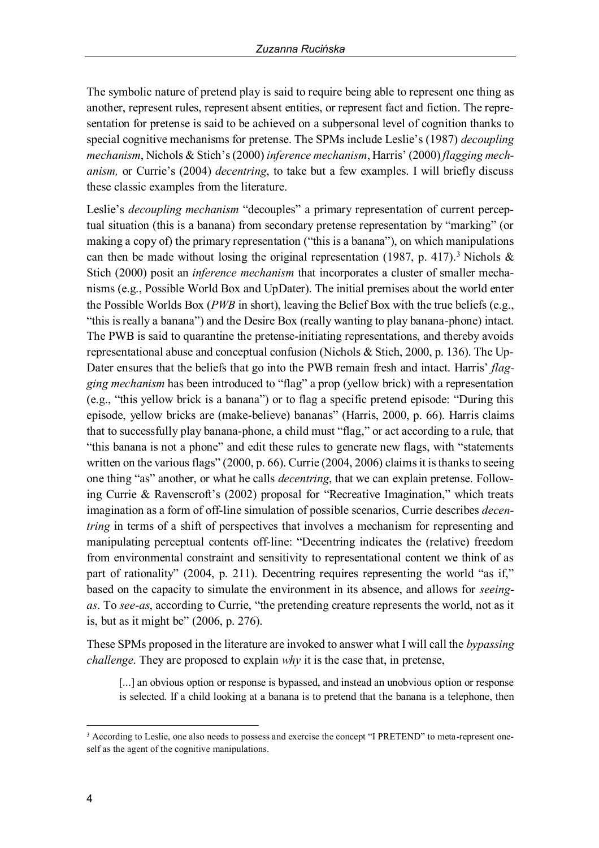The symbolic nature of pretend play is said to require being able to represent one thing as another, represent rules, represent absent entities, or represent fact and fiction. The representation for pretense is said to be achieved on a subpersonal level of cognition thanks to special cognitive mechanisms for pretense. The SPMs include Leslie's (1987) *decoupling mechanism*, Nichols & Stich's (2000) *inference mechanism*, Harris' (2000) *flagging mechanism,* or Currie's (2004) *decentring*, to take but a few examples. I will briefly discuss these classic examples from the literature.

Leslie's *decoupling mechanism* "decouples" a primary representation of current perceptual situation (this is a banana) from secondary pretense representation by "marking" (or making a copy of) the primary representation ("this is a banana"), on which manipulations can then be made without losing the original representation (1987, p. 417).<sup>3</sup> Nichols & Stich (2000) posit an *inference mechanism* that incorporates a cluster of smaller mechanisms (e.g., Possible World Box and UpDater). The initial premises about the world enter the Possible Worlds Box (*PWB* in short), leaving the Belief Box with the true beliefs (e.g., "this is really a banana") and the Desire Box (really wanting to play banana-phone) intact. The PWB is said to quarantine the pretense-initiating representations, and thereby avoids representational abuse and conceptual confusion (Nichols & Stich, 2000, p. 136). The Up-Dater ensures that the beliefs that go into the PWB remain fresh and intact. Harris' *flagging mechanism* has been introduced to "flag" a prop (yellow brick) with a representation (e.g., "this yellow brick is a banana") or to flag a specific pretend episode: "During this episode, yellow bricks are (make-believe) bananas" (Harris, 2000, p. 66). Harris claims that to successfully play banana-phone, a child must "flag," or act according to a rule, that "this banana is not a phone" and edit these rules to generate new flags, with "statements written on the various flags" (2000, p. 66). Currie (2004, 2006) claims it is thanks to seeing one thing "as" another, or what he calls *decentring*, that we can explain pretense. Following Currie & Ravenscroft's (2002) proposal for "Recreative Imagination," which treats imagination as a form of off-line simulation of possible scenarios, Currie describes *decentring* in terms of a shift of perspectives that involves a mechanism for representing and manipulating perceptual contents off-line: "Decentring indicates the (relative) freedom from environmental constraint and sensitivity to representational content we think of as part of rationality" (2004, p. 211). Decentring requires representing the world "as if," based on the capacity to simulate the environment in its absence, and allows for *seeingas*. To *see-as*, according to Currie, "the pretending creature represents the world, not as it is, but as it might be" (2006, p. 276).

These SPMs proposed in the literature are invoked to answer what I will call the *bypassing challenge*. They are proposed to explain *why* it is the case that, in pretense,

[...] an obvious option or response is bypassed, and instead an unobvious option or response is selected. If a child looking at a banana is to pretend that the banana is a telephone, then

 <sup>3</sup> According to Leslie, one also needs to possess and exercise the concept "I PRETEND" to meta-represent oneself as the agent of the cognitive manipulations.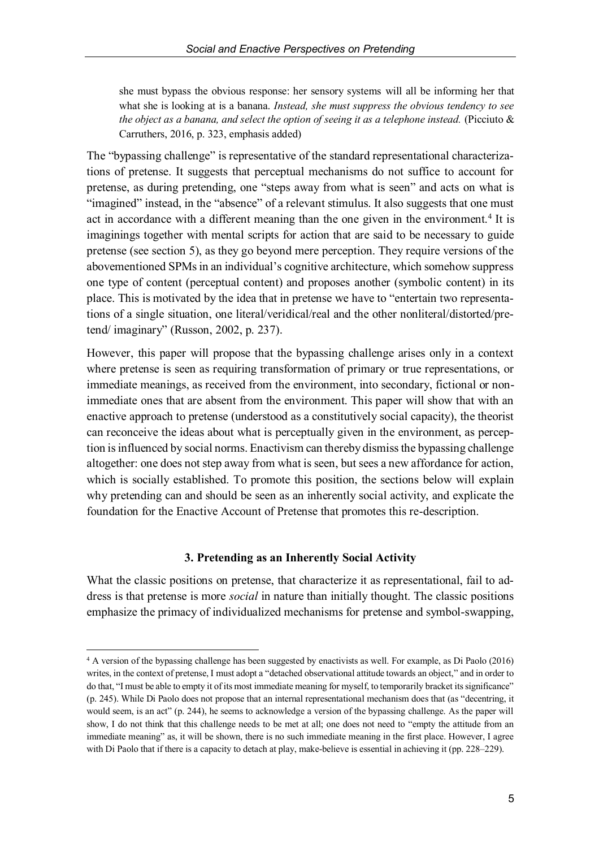she must bypass the obvious response: her sensory systems will all be informing her that what she is looking at is a banana. *Instead, she must suppress the obvious tendency to see the object as a banana, and select the option of seeing it as a telephone instead.* (Picciuto & Carruthers, 2016, p. 323, emphasis added)

The "bypassing challenge" is representative of the standard representational characterizations of pretense. It suggests that perceptual mechanisms do not suffice to account for pretense, as during pretending, one "steps away from what is seen" and acts on what is "imagined" instead, in the "absence" of a relevant stimulus. It also suggests that one must act in accordance with a different meaning than the one given in the environment.<sup>4</sup> It is imaginings together with mental scripts for action that are said to be necessary to guide pretense (see section 5), as they go beyond mere perception. They require versions of the abovementioned SPMs in an individual's cognitive architecture, which somehow suppress one type of content (perceptual content) and proposes another (symbolic content) in its place. This is motivated by the idea that in pretense we have to "entertain two representations of a single situation, one literal/veridical/real and the other nonliteral/distorted/pretend/ imaginary" (Russon, 2002, p. 237).

However, this paper will propose that the bypassing challenge arises only in a context where pretense is seen as requiring transformation of primary or true representations, or immediate meanings, as received from the environment, into secondary, fictional or nonimmediate ones that are absent from the environment. This paper will show that with an enactive approach to pretense (understood as a constitutively social capacity), the theorist can reconceive the ideas about what is perceptually given in the environment, as perception is influenced by social norms. Enactivism can thereby dismiss the bypassing challenge altogether: one does not step away from what is seen, but sees a new affordance for action, which is socially established. To promote this position, the sections below will explain why pretending can and should be seen as an inherently social activity, and explicate the foundation for the Enactive Account of Pretense that promotes this re-description.

## **3. Pretending as an Inherently Social Activity**

What the classic positions on pretense, that characterize it as representational, fail to address is that pretense is more *social* in nature than initially thought. The classic positions emphasize the primacy of individualized mechanisms for pretense and symbol-swapping,

 <sup>4</sup> A version of the bypassing challenge has been suggested by enactivists as well. For example, as Di Paolo (2016) writes, in the context of pretense, I must adopt a "detached observational attitude towards an object," and in order to do that, "I must be able to empty it of its most immediate meaning for myself, to temporarily bracket its significance" (p. 245). While Di Paolo does not propose that an internal representational mechanism does that (as "decentring, it would seem, is an act" (p. 244), he seems to acknowledge a version of the bypassing challenge. As the paper will show, I do not think that this challenge needs to be met at all; one does not need to "empty the attitude from an immediate meaning" as, it will be shown, there is no such immediate meaning in the first place. However, I agree with Di Paolo that if there is a capacity to detach at play, make-believe is essential in achieving it (pp. 228–229).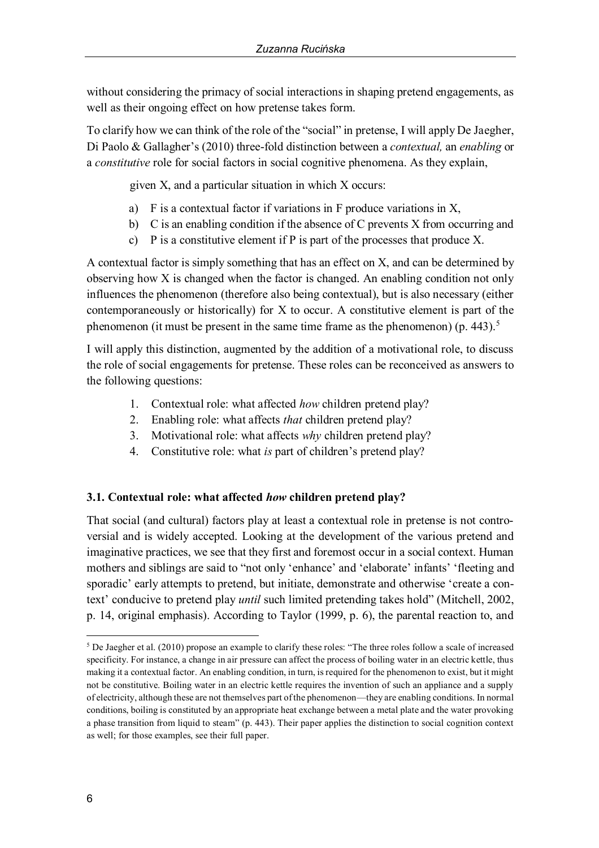without considering the primacy of social interactions in shaping pretend engagements, as well as their ongoing effect on how pretense takes form.

To clarify how we can think of the role of the "social" in pretense, I will apply De Jaegher, Di Paolo & Gallagher's (2010) three-fold distinction between a *contextual,* an *enabling* or a *constitutive* role for social factors in social cognitive phenomena. As they explain,

given X, and a particular situation in which X occurs:

- a) F is a contextual factor if variations in F produce variations in X,
- b) C is an enabling condition if the absence of C prevents X from occurring and
- c) P is a constitutive element if P is part of the processes that produce X.

A contextual factor is simply something that has an effect on X, and can be determined by observing how X is changed when the factor is changed. An enabling condition not only influences the phenomenon (therefore also being contextual), but is also necessary (either contemporaneously or historically) for X to occur. A constitutive element is part of the phenomenon (it must be present in the same time frame as the phenomenon) (p.  $443$ ).<sup>5</sup>

I will apply this distinction, augmented by the addition of a motivational role, to discuss the role of social engagements for pretense. These roles can be reconceived as answers to the following questions:

- 1. Contextual role: what affected *how* children pretend play?
- 2. Enabling role: what affects *that* children pretend play?
- 3. Motivational role: what affects *why* children pretend play?
- 4. Constitutive role: what *is* part of children's pretend play?

# **3.1. Contextual role: what affected** *how* **children pretend play?**

That social (and cultural) factors play at least a contextual role in pretense is not controversial and is widely accepted. Looking at the development of the various pretend and imaginative practices, we see that they first and foremost occur in a social context. Human mothers and siblings are said to "not only 'enhance' and 'elaborate' infants' 'fleeting and sporadic' early attempts to pretend, but initiate, demonstrate and otherwise 'create a context' conducive to pretend play *until* such limited pretending takes hold" (Mitchell, 2002, p. 14, original emphasis). According to Taylor (1999, p. 6), the parental reaction to, and

 <sup>5</sup> De Jaegher et al. (2010) propose an example to clarify these roles: "The three roles follow a scale of increased specificity. For instance, a change in air pressure can affect the process of boiling water in an electric kettle, thus making it a contextual factor. An enabling condition, in turn, is required for the phenomenon to exist, but it might not be constitutive. Boiling water in an electric kettle requires the invention of such an appliance and a supply of electricity, although these are not themselves part of the phenomenon—they are enabling conditions. In normal conditions, boiling is constituted by an appropriate heat exchange between a metal plate and the water provoking a phase transition from liquid to steam" (p. 443). Their paper applies the distinction to social cognition context as well; for those examples, see their full paper.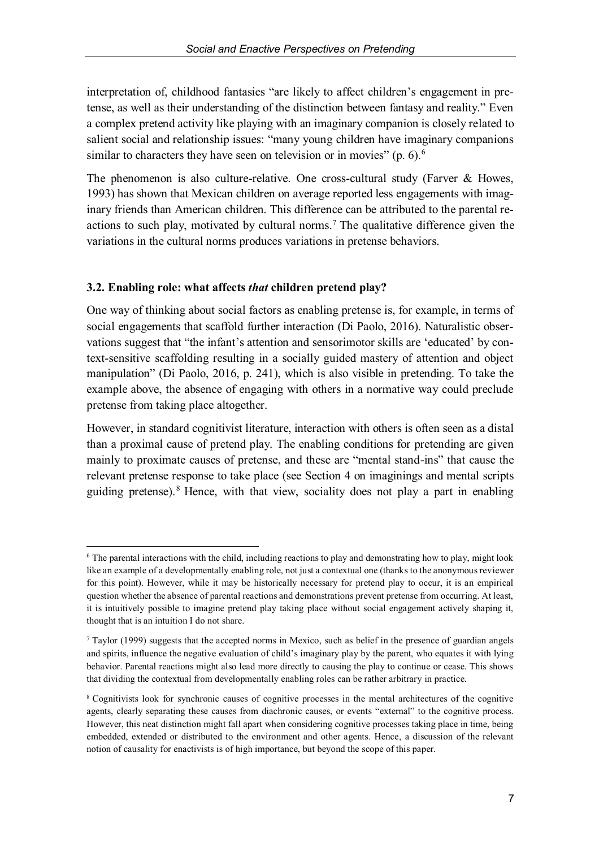interpretation of, childhood fantasies "are likely to affect children's engagement in pretense, as well as their understanding of the distinction between fantasy and reality." Even a complex pretend activity like playing with an imaginary companion is closely related to salient social and relationship issues: "many young children have imaginary companions similar to characters they have seen on television or in movies" (p. 6).<sup>6</sup>

The phenomenon is also culture-relative. One cross-cultural study (Farver & Howes, 1993) has shown that Mexican children on average reported less engagements with imaginary friends than American children. This difference can be attributed to the parental reactions to such play, motivated by cultural norms.<sup>7</sup> The qualitative difference given the variations in the cultural norms produces variations in pretense behaviors.

# **3.2. Enabling role: what affects** *that* **children pretend play?**

One way of thinking about social factors as enabling pretense is, for example, in terms of social engagements that scaffold further interaction (Di Paolo, 2016). Naturalistic observations suggest that "the infant's attention and sensorimotor skills are 'educated' by context-sensitive scaffolding resulting in a socially guided mastery of attention and object manipulation" (Di Paolo, 2016, p. 241), which is also visible in pretending. To take the example above, the absence of engaging with others in a normative way could preclude pretense from taking place altogether.

However, in standard cognitivist literature, interaction with others is often seen as a distal than a proximal cause of pretend play. The enabling conditions for pretending are given mainly to proximate causes of pretense, and these are "mental stand-ins" that cause the relevant pretense response to take place (see Section 4 on imaginings and mental scripts guiding pretense).8 Hence, with that view, sociality does not play a part in enabling

 <sup>6</sup> The parental interactions with the child, including reactions to play and demonstrating how to play, might look like an example of a developmentally enabling role, not just a contextual one (thanks to the anonymous reviewer for this point). However, while it may be historically necessary for pretend play to occur, it is an empirical question whether the absence of parental reactions and demonstrations prevent pretense from occurring. At least, it is intuitively possible to imagine pretend play taking place without social engagement actively shaping it, thought that is an intuition I do not share.

<sup>7</sup> Taylor (1999) suggests that the accepted norms in Mexico, such as belief in the presence of guardian angels and spirits, influence the negative evaluation of child's imaginary play by the parent, who equates it with lying behavior. Parental reactions might also lead more directly to causing the play to continue or cease. This shows that dividing the contextual from developmentally enabling roles can be rather arbitrary in practice.

<sup>8</sup> Cognitivists look for synchronic causes of cognitive processes in the mental architectures of the cognitive agents, clearly separating these causes from diachronic causes, or events "external" to the cognitive process. However, this neat distinction might fall apart when considering cognitive processes taking place in time, being embedded, extended or distributed to the environment and other agents. Hence, a discussion of the relevant notion of causality for enactivists is of high importance, but beyond the scope of this paper.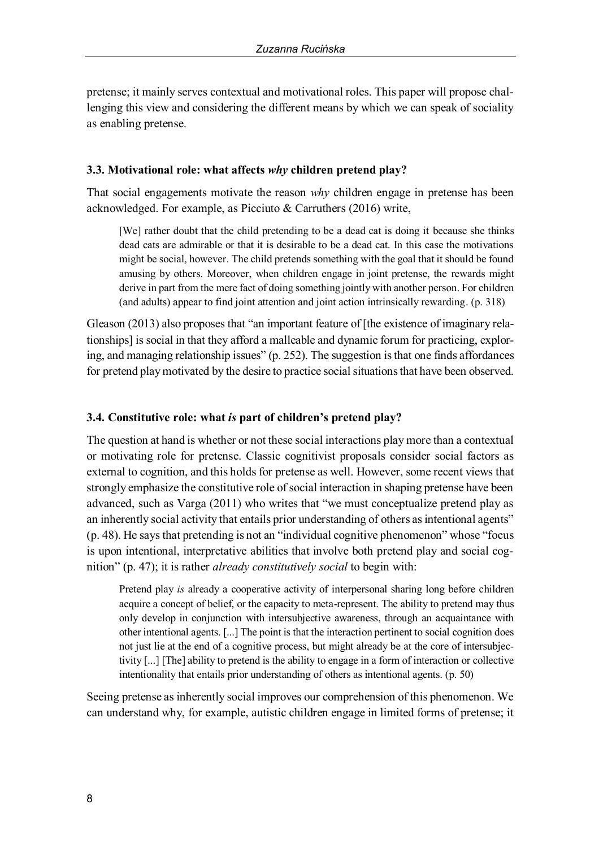pretense; it mainly serves contextual and motivational roles. This paper will propose challenging this view and considering the different means by which we can speak of sociality as enabling pretense.

### **3.3. Motivational role: what affects** *why* **children pretend play?**

That social engagements motivate the reason *why* children engage in pretense has been acknowledged. For example, as Picciuto & Carruthers (2016) write,

[We] rather doubt that the child pretending to be a dead cat is doing it because she thinks dead cats are admirable or that it is desirable to be a dead cat. In this case the motivations might be social, however. The child pretends something with the goal that it should be found amusing by others. Moreover, when children engage in joint pretense, the rewards might derive in part from the mere fact of doing something jointly with another person. For children (and adults) appear to find joint attention and joint action intrinsically rewarding. (p. 318)

Gleason (2013) also proposes that "an important feature of [the existence of imaginary relationships] is social in that they afford a malleable and dynamic forum for practicing, exploring, and managing relationship issues" (p. 252). The suggestion is that one finds affordances for pretend play motivated by the desire to practice social situations that have been observed.

## **3.4. Constitutive role: what** *is* **part of children's pretend play?**

The question at hand is whether or not these social interactions play more than a contextual or motivating role for pretense. Classic cognitivist proposals consider social factors as external to cognition, and this holds for pretense as well. However, some recent views that strongly emphasize the constitutive role of social interaction in shaping pretense have been advanced, such as Varga (2011) who writes that "we must conceptualize pretend play as an inherently social activity that entails prior understanding of others as intentional agents" (p. 48). He says that pretending is not an "individual cognitive phenomenon" whose "focus is upon intentional, interpretative abilities that involve both pretend play and social cognition" (p. 47); it is rather *already constitutively social* to begin with:

Pretend play *is* already a cooperative activity of interpersonal sharing long before children acquire a concept of belief, or the capacity to meta-represent. The ability to pretend may thus only develop in conjunction with intersubjective awareness, through an acquaintance with other intentional agents. [...] The point is that the interaction pertinent to social cognition does not just lie at the end of a cognitive process, but might already be at the core of intersubjectivity [...] [The] ability to pretend is the ability to engage in a form of interaction or collective intentionality that entails prior understanding of others as intentional agents. (p. 50)

Seeing pretense as inherently social improves our comprehension of this phenomenon. We can understand why, for example, autistic children engage in limited forms of pretense; it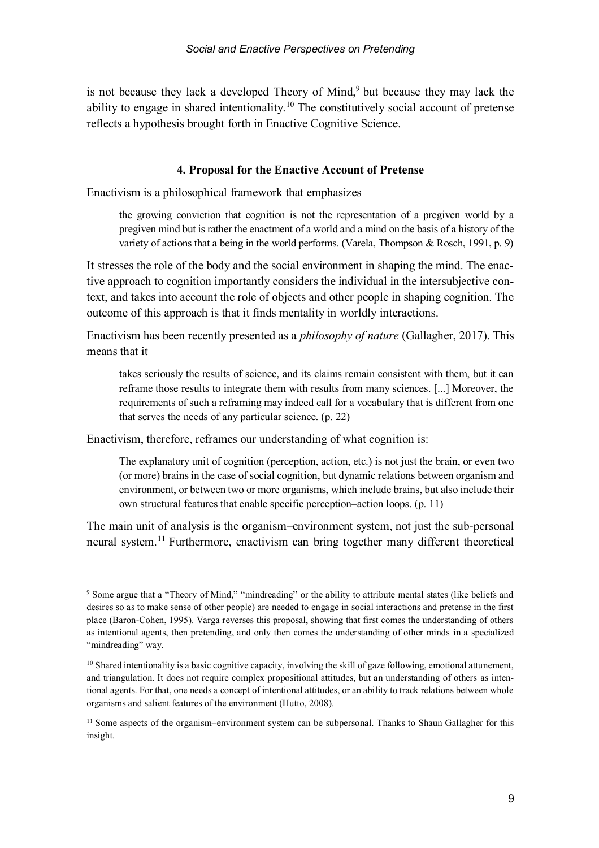is not because they lack a developed Theory of Mind,<sup>9</sup> but because they may lack the ability to engage in shared intentionality.<sup>10</sup> The constitutively social account of pretense reflects a hypothesis brought forth in Enactive Cognitive Science.

### **4. Proposal for the Enactive Account of Pretense**

Enactivism is a philosophical framework that emphasizes

the growing conviction that cognition is not the representation of a pregiven world by a pregiven mind but is rather the enactment of a world and a mind on the basis of a history of the variety of actions that a being in the world performs. (Varela, Thompson & Rosch, 1991, p. 9)

It stresses the role of the body and the social environment in shaping the mind. The enactive approach to cognition importantly considers the individual in the intersubjective context, and takes into account the role of objects and other people in shaping cognition. The outcome of this approach is that it finds mentality in worldly interactions.

Enactivism has been recently presented as a *philosophy of nature* (Gallagher, 2017). This means that it

takes seriously the results of science, and its claims remain consistent with them, but it can reframe those results to integrate them with results from many sciences. [...] Moreover, the requirements of such a reframing may indeed call for a vocabulary that is different from one that serves the needs of any particular science. (p. 22)

Enactivism, therefore, reframes our understanding of what cognition is:

The explanatory unit of cognition (perception, action, etc.) is not just the brain, or even two (or more) brains in the case of social cognition, but dynamic relations between organism and environment, or between two or more organisms, which include brains, but also include their own structural features that enable specific perception–action loops. (p. 11)

The main unit of analysis is the organism–environment system, not just the sub-personal neural system.<sup>11</sup> Furthermore, enactivism can bring together many different theoretical

 <sup>9</sup> Some argue that a "Theory of Mind," "mindreading" or the ability to attribute mental states (like beliefs and desires so as to make sense of other people) are needed to engage in social interactions and pretense in the first place (Baron-Cohen, 1995). Varga reverses this proposal, showing that first comes the understanding of others as intentional agents, then pretending, and only then comes the understanding of other minds in a specialized "mindreading" way.

<sup>&</sup>lt;sup>10</sup> Shared intentionality is a basic cognitive capacity, involving the skill of gaze following, emotional attunement, and triangulation. It does not require complex propositional attitudes, but an understanding of others as intentional agents. For that, one needs a concept of intentional attitudes, or an ability to track relations between whole organisms and salient features of the environment (Hutto, 2008).

<sup>&</sup>lt;sup>11</sup> Some aspects of the organism–environment system can be subpersonal. Thanks to Shaun Gallagher for this insight.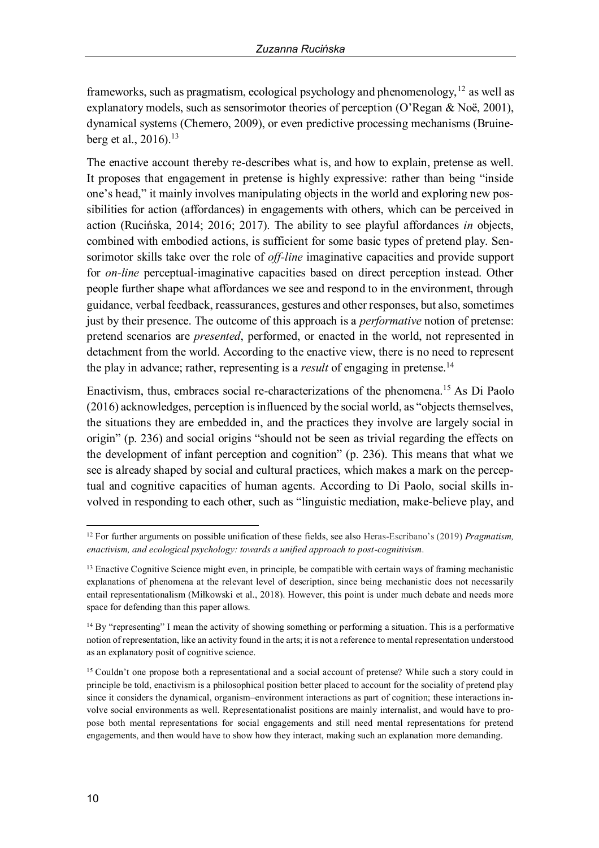frameworks, such as pragmatism, ecological psychology and phenomenology,  $12$  as well as explanatory models, such as sensorimotor theories of perception (O'Regan & Noë, 2001), dynamical systems (Chemero, 2009), or even predictive processing mechanisms (Bruineberg et al., 2016).<sup>13</sup>

The enactive account thereby re-describes what is, and how to explain, pretense as well. It proposes that engagement in pretense is highly expressive: rather than being "inside one's head," it mainly involves manipulating objects in the world and exploring new possibilities for action (affordances) in engagements with others, which can be perceived in action (Rucinska, 2014; 2016; 2017). The ability to see playful affordances *in* objects, combined with embodied actions, is sufficient for some basic types of pretend play. Sensorimotor skills take over the role of *off-line* imaginative capacities and provide support for *on-line* perceptual-imaginative capacities based on direct perception instead. Other people further shape what affordances we see and respond to in the environment, through guidance, verbal feedback, reassurances, gestures and other responses, but also, sometimes just by their presence. The outcome of this approach is a *performative* notion of pretense: pretend scenarios are *presented*, performed, or enacted in the world, not represented in detachment from the world. According to the enactive view, there is no need to represent the play in advance; rather, representing is a *result* of engaging in pretense.<sup>14</sup>

Enactivism, thus, embraces social re-characterizations of the phenomena.15 As Di Paolo (2016) acknowledges, perception is influenced by the social world, as "objects themselves, the situations they are embedded in, and the practices they involve are largely social in origin" (p. 236) and social origins "should not be seen as trivial regarding the effects on the development of infant perception and cognition" (p. 236). This means that what we see is already shaped by social and cultural practices, which makes a mark on the perceptual and cognitive capacities of human agents. According to Di Paolo, social skills involved in responding to each other, such as "linguistic mediation, make-believe play, and

 <sup>12</sup> For further arguments on possible unification of these fields, see also Heras-Escribano's (2019) *Pragmatism, enactivism, and ecological psychology: towards a unified approach to post-cognitivism*.

<sup>&</sup>lt;sup>13</sup> Enactive Cognitive Science might even, in principle, be compatible with certain ways of framing mechanistic explanations of phenomena at the relevant level of description, since being mechanistic does not necessarily entail representationalism (Miłkowski et al., 2018). However, this point is under much debate and needs more space for defending than this paper allows.

<sup>&</sup>lt;sup>14</sup> By "representing" I mean the activity of showing something or performing a situation. This is a performative notion of representation, like an activity found in the arts; it is not a reference to mental representation understood as an explanatory posit of cognitive science.

<sup>15</sup> Couldn't one propose both a representational and a social account of pretense? While such a story could in principle be told, enactivism is a philosophical position better placed to account for the sociality of pretend play since it considers the dynamical, organism–environment interactions as part of cognition; these interactions involve social environments as well. Representationalist positions are mainly internalist, and would have to propose both mental representations for social engagements and still need mental representations for pretend engagements, and then would have to show how they interact, making such an explanation more demanding.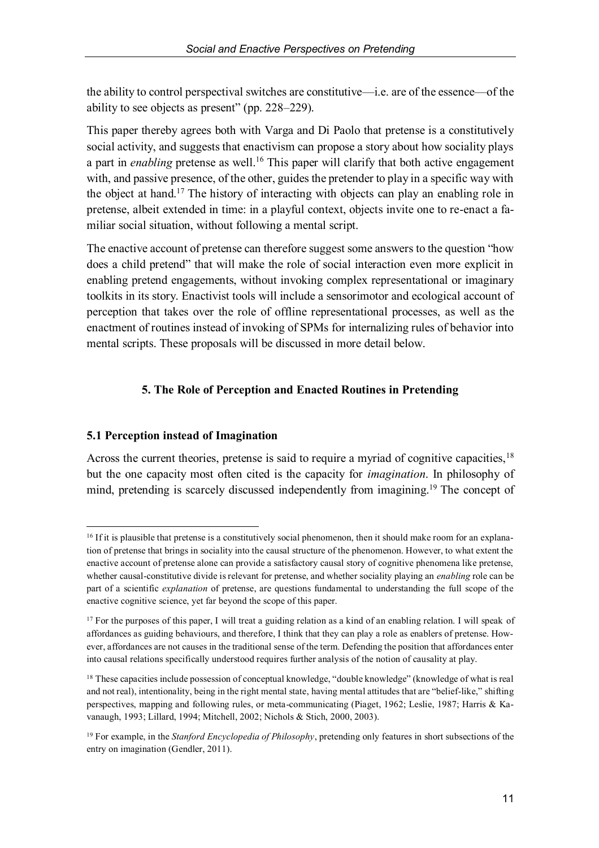the ability to control perspectival switches are constitutive—i.e. are of the essence—of the ability to see objects as present" (pp. 228–229).

This paper thereby agrees both with Varga and Di Paolo that pretense is a constitutively social activity, and suggests that enactivism can propose a story about how sociality plays a part in *enabling* pretense as well.<sup>16</sup> This paper will clarify that both active engagement with, and passive presence, of the other, guides the pretender to play in a specific way with the object at hand.17 The history of interacting with objects can play an enabling role in pretense, albeit extended in time: in a playful context, objects invite one to re-enact a familiar social situation, without following a mental script.

The enactive account of pretense can therefore suggest some answers to the question "how does a child pretend" that will make the role of social interaction even more explicit in enabling pretend engagements, without invoking complex representational or imaginary toolkits in its story. Enactivist tools will include a sensorimotor and ecological account of perception that takes over the role of offline representational processes, as well as the enactment of routines instead of invoking of SPMs for internalizing rules of behavior into mental scripts. These proposals will be discussed in more detail below.

# **5. The Role of Perception and Enacted Routines in Pretending**

# **5.1 Perception instead of Imagination**

Across the current theories, pretense is said to require a myriad of cognitive capacities,  $18$ but the one capacity most often cited is the capacity for *imagination*. In philosophy of mind, pretending is scarcely discussed independently from imagining.19 The concept of

 $16$  If it is plausible that pretense is a constitutively social phenomenon, then it should make room for an explanation of pretense that brings in sociality into the causal structure of the phenomenon. However, to what extent the enactive account of pretense alone can provide a satisfactory causal story of cognitive phenomena like pretense, whether causal-constitutive divide is relevant for pretense, and whether sociality playing an *enabling* role can be part of a scientific *explanation* of pretense, are questions fundamental to understanding the full scope of the enactive cognitive science, yet far beyond the scope of this paper.

<sup>&</sup>lt;sup>17</sup> For the purposes of this paper, I will treat a guiding relation as a kind of an enabling relation. I will speak of affordances as guiding behaviours, and therefore, I think that they can play a role as enablers of pretense. However, affordances are not causes in the traditional sense of the term. Defending the position that affordances enter into causal relations specifically understood requires further analysis of the notion of causality at play.

<sup>&</sup>lt;sup>18</sup> These capacities include possession of conceptual knowledge, "double knowledge" (knowledge of what is real and not real), intentionality, being in the right mental state, having mental attitudes that are "belief-like," shifting perspectives, mapping and following rules, or meta-communicating (Piaget, 1962; Leslie, 1987; Harris & Kavanaugh, 1993; Lillard, 1994; Mitchell, 2002; Nichols & Stich, 2000, 2003).

<sup>19</sup> For example, in the *Stanford Encyclopedia of Philosophy*, pretending only features in short subsections of the entry on imagination (Gendler, 2011).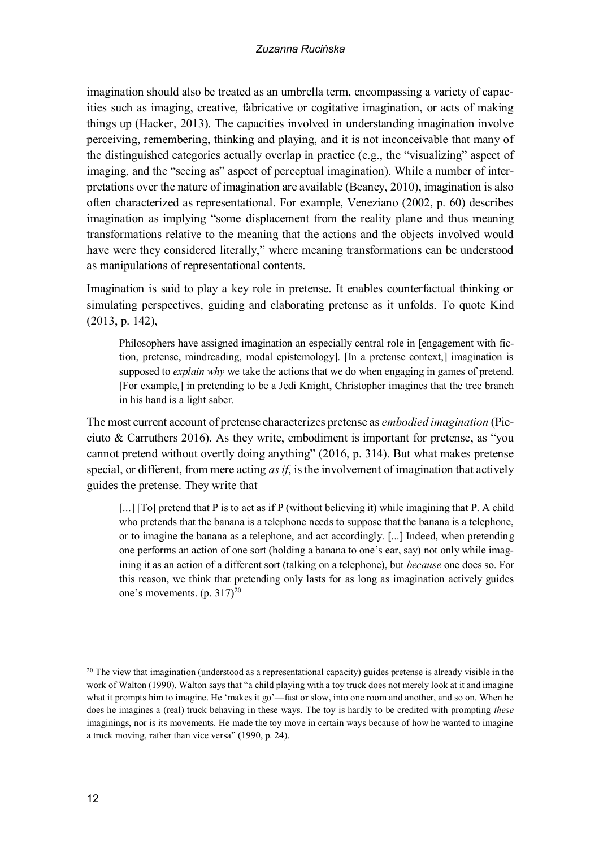imagination should also be treated as an umbrella term, encompassing a variety of capacities such as imaging, creative, fabricative or cogitative imagination, or acts of making things up (Hacker, 2013). The capacities involved in understanding imagination involve perceiving, remembering, thinking and playing, and it is not inconceivable that many of the distinguished categories actually overlap in practice (e.g., the "visualizing" aspect of imaging, and the "seeing as" aspect of perceptual imagination). While a number of interpretations over the nature of imagination are available (Beaney, 2010), imagination is also often characterized as representational. For example, Veneziano (2002, p. 60) describes imagination as implying "some displacement from the reality plane and thus meaning transformations relative to the meaning that the actions and the objects involved would have were they considered literally," where meaning transformations can be understood as manipulations of representational contents.

Imagination is said to play a key role in pretense. It enables counterfactual thinking or simulating perspectives, guiding and elaborating pretense as it unfolds. To quote Kind (2013, p. 142),

Philosophers have assigned imagination an especially central role in [engagement with fiction, pretense, mindreading, modal epistemology]. [In a pretense context,] imagination is supposed to *explain why* we take the actions that we do when engaging in games of pretend. [For example,] in pretending to be a Jedi Knight, Christopher imagines that the tree branch in his hand is a light saber.

The most current account of pretense characterizes pretense as *embodied imagination* (Picciuto & Carruthers 2016). As they write, embodiment is important for pretense, as "you cannot pretend without overtly doing anything" (2016, p. 314). But what makes pretense special, or different, from mere acting *as if*, is the involvement of imagination that actively guides the pretense. They write that

[...] [To] pretend that P is to act as if P (without believing it) while imagining that P. A child who pretends that the banana is a telephone needs to suppose that the banana is a telephone, or to imagine the banana as a telephone, and act accordingly. [...] Indeed, when pretending one performs an action of one sort (holding a banana to one's ear, say) not only while imagining it as an action of a different sort (talking on a telephone), but *because* one does so. For this reason, we think that pretending only lasts for as long as imagination actively guides one's movements. (p. 317)<sup>20</sup>

<sup>&</sup>lt;sup>20</sup> The view that imagination (understood as a representational capacity) guides pretense is already visible in the work of Walton (1990). Walton says that "a child playing with a toy truck does not merely look at it and imagine what it prompts him to imagine. He 'makes it go'—fast or slow, into one room and another, and so on. When he does he imagines a (real) truck behaving in these ways. The toy is hardly to be credited with prompting *these* imaginings, nor is its movements. He made the toy move in certain ways because of how he wanted to imagine a truck moving, rather than vice versa" (1990, p. 24).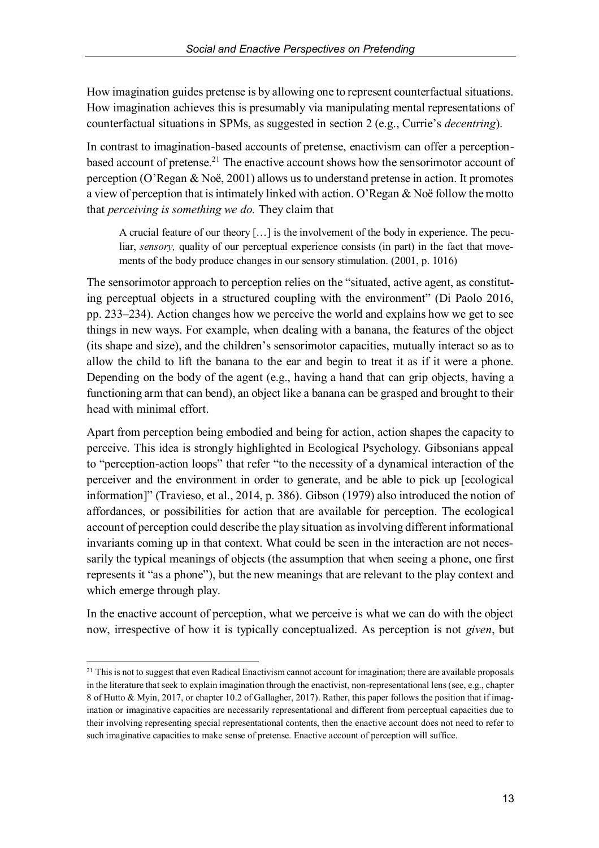How imagination guides pretense is by allowing one to represent counterfactual situations. How imagination achieves this is presumably via manipulating mental representations of counterfactual situations in SPMs, as suggested in section 2 (e.g., Currie's *decentring*).

In contrast to imagination-based accounts of pretense, enactivism can offer a perceptionbased account of pretense.<sup>21</sup> The enactive account shows how the sensorimotor account of perception (O'Regan & Noë, 2001) allows us to understand pretense in action. It promotes a view of perception that is intimately linked with action. O'Regan & Noë follow the motto that *perceiving is something we do.* They claim that

A crucial feature of our theory […] is the involvement of the body in experience. The peculiar, *sensory*, quality of our perceptual experience consists (in part) in the fact that movements of the body produce changes in our sensory stimulation. (2001, p. 1016)

The sensorimotor approach to perception relies on the "situated, active agent, as constituting perceptual objects in a structured coupling with the environment" (Di Paolo 2016, pp. 233–234). Action changes how we perceive the world and explains how we get to see things in new ways. For example, when dealing with a banana, the features of the object (its shape and size), and the children's sensorimotor capacities, mutually interact so as to allow the child to lift the banana to the ear and begin to treat it as if it were a phone. Depending on the body of the agent (e.g., having a hand that can grip objects, having a functioning arm that can bend), an object like a banana can be grasped and brought to their head with minimal effort.

Apart from perception being embodied and being for action, action shapes the capacity to perceive. This idea is strongly highlighted in Ecological Psychology. Gibsonians appeal to "perception-action loops" that refer "to the necessity of a dynamical interaction of the perceiver and the environment in order to generate, and be able to pick up [ecological information]" (Travieso, et al., 2014, p. 386). Gibson (1979) also introduced the notion of affordances, or possibilities for action that are available for perception. The ecological account of perception could describe the play situation as involving different informational invariants coming up in that context. What could be seen in the interaction are not necessarily the typical meanings of objects (the assumption that when seeing a phone, one first represents it "as a phone"), but the new meanings that are relevant to the play context and which emerge through play.

In the enactive account of perception, what we perceive is what we can do with the object now, irrespective of how it is typically conceptualized. As perception is not *given*, but

 $21$  This is not to suggest that even Radical Enactivism cannot account for imagination; there are available proposals in the literature that seek to explain imagination through the enactivist, non-representational lens (see, e.g., chapter 8 of Hutto & Myin, 2017, or chapter 10.2 of Gallagher, 2017). Rather, this paper follows the position that if imagination or imaginative capacities are necessarily representational and different from perceptual capacities due to their involving representing special representational contents, then the enactive account does not need to refer to such imaginative capacities to make sense of pretense. Enactive account of perception will suffice.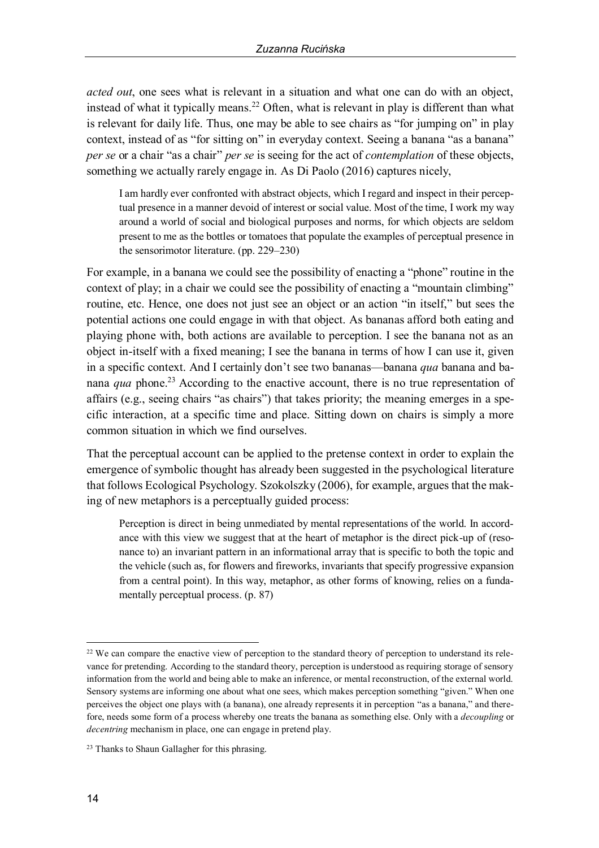*acted out*, one sees what is relevant in a situation and what one can do with an object, instead of what it typically means.<sup>22</sup> Often, what is relevant in play is different than what is relevant for daily life. Thus, one may be able to see chairs as "for jumping on" in play context, instead of as "for sitting on" in everyday context. Seeing a banana "as a banana" *per se* or a chair "as a chair" *per se* is seeing for the act of *contemplation* of these objects, something we actually rarely engage in. As Di Paolo (2016) captures nicely,

I am hardly ever confronted with abstract objects, which I regard and inspect in their perceptual presence in a manner devoid of interest or social value. Most of the time, I work my way around a world of social and biological purposes and norms, for which objects are seldom present to me as the bottles or tomatoes that populate the examples of perceptual presence in the sensorimotor literature. (pp. 229–230)

For example, in a banana we could see the possibility of enacting a "phone" routine in the context of play; in a chair we could see the possibility of enacting a "mountain climbing" routine, etc. Hence, one does not just see an object or an action "in itself," but sees the potential actions one could engage in with that object. As bananas afford both eating and playing phone with, both actions are available to perception. I see the banana not as an object in-itself with a fixed meaning; I see the banana in terms of how I can use it, given in a specific context. And I certainly don't see two bananas—banana *qua* banana and banana *qua* phone.<sup>23</sup> According to the enactive account, there is no true representation of affairs (e.g., seeing chairs "as chairs") that takes priority; the meaning emerges in a specific interaction, at a specific time and place. Sitting down on chairs is simply a more common situation in which we find ourselves.

That the perceptual account can be applied to the pretense context in order to explain the emergence of symbolic thought has already been suggested in the psychological literature that follows Ecological Psychology. Szokolszky (2006), for example, argues that the making of new metaphors is a perceptually guided process:

Perception is direct in being unmediated by mental representations of the world. In accordance with this view we suggest that at the heart of metaphor is the direct pick-up of (resonance to) an invariant pattern in an informational array that is specific to both the topic and the vehicle (such as, for flowers and fireworks, invariants that specify progressive expansion from a central point). In this way, metaphor, as other forms of knowing, relies on a fundamentally perceptual process. (p. 87)

<sup>&</sup>lt;sup>22</sup> We can compare the enactive view of perception to the standard theory of perception to understand its relevance for pretending. According to the standard theory, perception is understood as requiring storage of sensory information from the world and being able to make an inference, or mental reconstruction, of the external world. Sensory systems are informing one about what one sees, which makes perception something "given." When one perceives the object one plays with (a banana), one already represents it in perception "as a banana," and therefore, needs some form of a process whereby one treats the banana as something else. Only with a *decoupling* or *decentring* mechanism in place, one can engage in pretend play.

<sup>&</sup>lt;sup>23</sup> Thanks to Shaun Gallagher for this phrasing.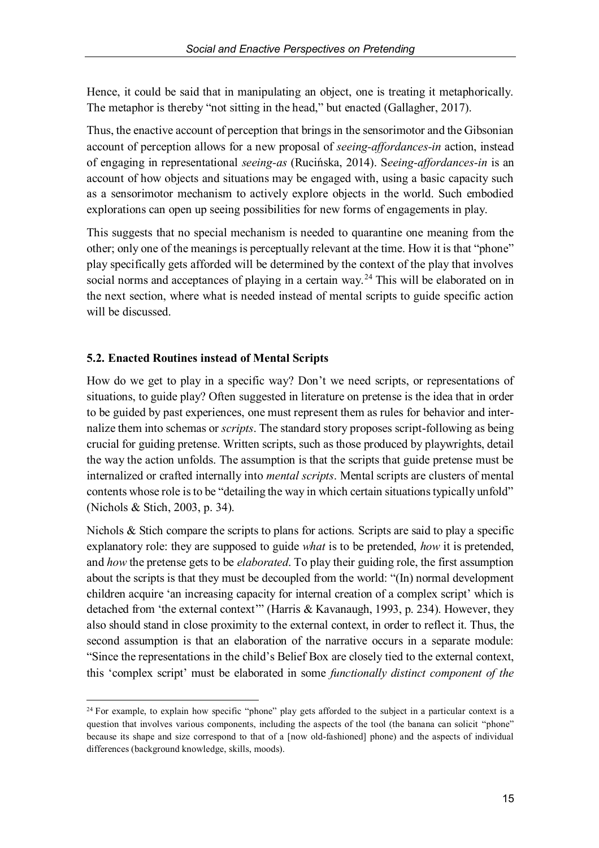Hence, it could be said that in manipulating an object, one is treating it metaphorically. The metaphor is thereby "not sitting in the head," but enacted (Gallagher, 2017).

Thus, the enactive account of perception that brings in the sensorimotor and the Gibsonian account of perception allows for a new proposal of *seeing-affordances-in* action, instead of engaging in representational *seeing-as* (Rucinska, 2014). S*eeing-affordances-in* is an account of how objects and situations may be engaged with, using a basic capacity such as a sensorimotor mechanism to actively explore objects in the world. Such embodied explorations can open up seeing possibilities for new forms of engagements in play.

This suggests that no special mechanism is needed to quarantine one meaning from the other; only one of the meanings is perceptually relevant at the time. How it is that "phone" play specifically gets afforded will be determined by the context of the play that involves social norms and acceptances of playing in a certain way.<sup>24</sup> This will be elaborated on in the next section, where what is needed instead of mental scripts to guide specific action will be discussed.

## **5.2. Enacted Routines instead of Mental Scripts**

How do we get to play in a specific way? Don't we need scripts, or representations of situations, to guide play? Often suggested in literature on pretense is the idea that in order to be guided by past experiences, one must represent them as rules for behavior and internalize them into schemas or *scripts*. The standard story proposes script-following as being crucial for guiding pretense. Written scripts, such as those produced by playwrights, detail the way the action unfolds. The assumption is that the scripts that guide pretense must be internalized or crafted internally into *mental scripts*. Mental scripts are clusters of mental contents whose role is to be "detailing the way in which certain situations typically unfold" (Nichols & Stich, 2003, p. 34).

Nichols & Stich compare the scripts to plans for actions*.* Scripts are said to play a specific explanatory role: they are supposed to guide *what* is to be pretended, *how* it is pretended, and *how* the pretense gets to be *elaborated*. To play their guiding role, the first assumption about the scripts is that they must be decoupled from the world: "(In) normal development children acquire 'an increasing capacity for internal creation of a complex script' which is detached from 'the external context'" (Harris & Kavanaugh, 1993, p. 234). However, they also should stand in close proximity to the external context, in order to reflect it. Thus, the second assumption is that an elaboration of the narrative occurs in a separate module: "Since the representations in the child's Belief Box are closely tied to the external context, this 'complex script' must be elaborated in some *functionally distinct component of the* 

<sup>&</sup>lt;sup>24</sup> For example, to explain how specific "phone" play gets afforded to the subject in a particular context is a question that involves various components, including the aspects of the tool (the banana can solicit "phone" because its shape and size correspond to that of a [now old-fashioned] phone) and the aspects of individual differences (background knowledge, skills, moods).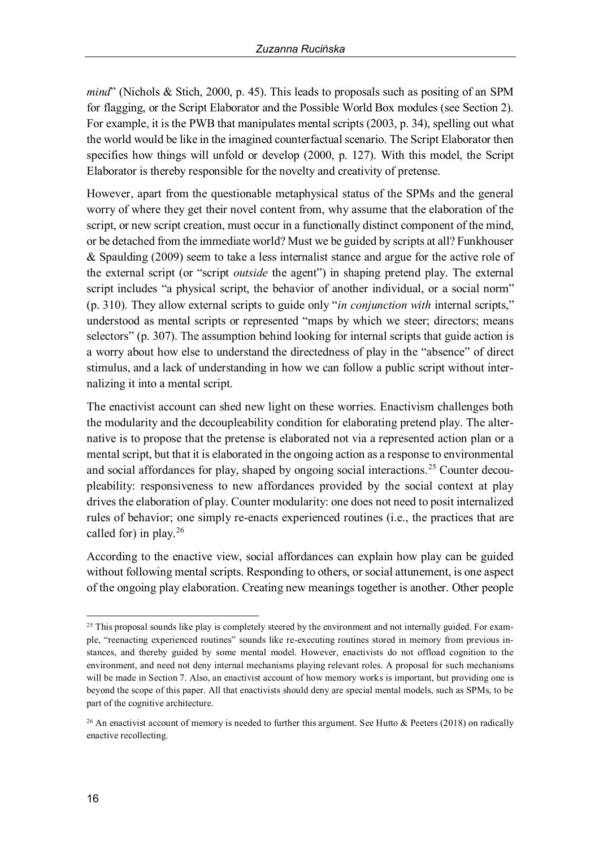*mind*" (Nichols & Stich, 2000, p. 45). This leads to proposals such as positing of an SPM for flagging, or the Script Elaborator and the Possible World Box modules (see Section 2). For example, it is the PWB that manipulates mental scripts (2003, p. 34), spelling out what the world would be like in the imagined counterfactual scenario. The Script Elaborator then specifies how things will unfold or develop (2000, p. 127). With this model, the Script Elaborator is thereby responsible for the novelty and creativity of pretense.

However, apart from the questionable metaphysical status of the SPMs and the general worry of where they get their novel content from, why assume that the elaboration of the script, or new script creation, must occur in a functionally distinct component of the mind, or be detached from the immediate world? Must we be guided by scripts at all? Funkhouser & Spaulding (2009) seem to take a less internalist stance and argue for the active role of the external script (or "script *outside* the agent") in shaping pretend play. The external script includes "a physical script, the behavior of another individual, or a social norm" (p. 310). They allow external scripts to guide only "*in conjunction with* internal scripts," understood as mental scripts or represented "maps by which we steer; directors; means selectors" (p. 307). The assumption behind looking for internal scripts that guide action is a worry about how else to understand the directedness of play in the "absence" of direct stimulus, and a lack of understanding in how we can follow a public script without internalizing it into a mental script.

The enactivist account can shed new light on these worries. Enactivism challenges both the modularity and the decoupleability condition for elaborating pretend play. The alternative is to propose that the pretense is elaborated not via a represented action plan or a mental script, but that it is elaborated in the ongoing action as a response to environmental and social affordances for play, shaped by ongoing social interactions.<sup>25</sup> Counter decoupleability: responsiveness to new affordances provided by the social context at play drives the elaboration of play. Counter modularity: one does not need to posit internalized rules of behavior; one simply re-enacts experienced routines (i.e., the practices that are called for) in play.<sup>26</sup>

According to the enactive view, social affordances can explain how play can be guided without following mental scripts. Responding to others, or social attunement, is one aspect of the ongoing play elaboration. Creating new meanings together is another. Other people

<sup>&</sup>lt;sup>25</sup> This proposal sounds like play is completely steered by the environment and not internally guided. For example, "reenacting experienced routines" sounds like re-executing routines stored in memory from previous instances, and thereby guided by some mental model. However, enactivists do not offload cognition to the environment, and need not deny internal mechanisms playing relevant roles. A proposal for such mechanisms will be made in Section 7. Also, an enactivist account of how memory works is important, but providing one is beyond the scope of this paper. All that enactivists should deny are special mental models, such as SPMs, to be part of the cognitive architecture.

<sup>&</sup>lt;sup>26</sup> An enactivist account of memory is needed to further this argument. See Hutto & Peeters (2018) on radically enactive recollecting.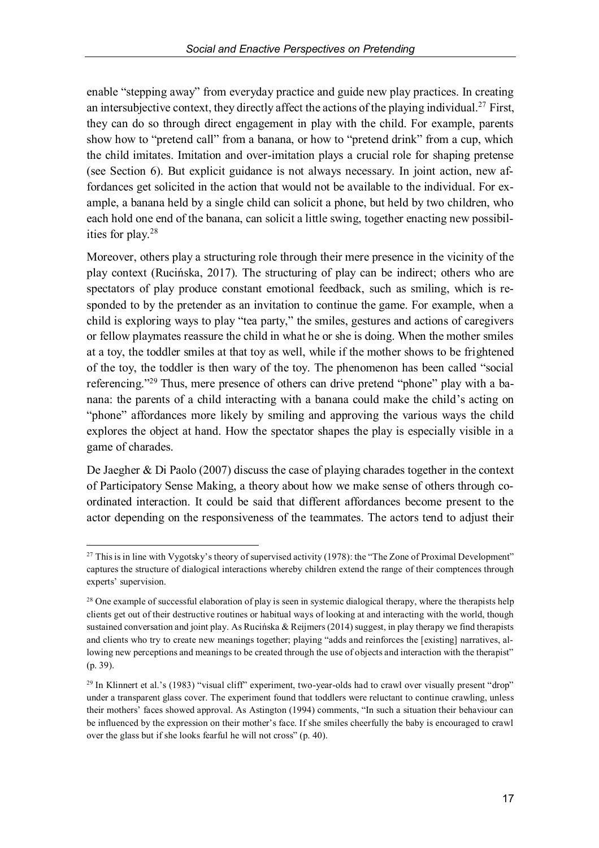enable "stepping away" from everyday practice and guide new play practices. In creating an intersubjective context, they directly affect the actions of the playing individual.<sup>27</sup> First, they can do so through direct engagement in play with the child. For example, parents show how to "pretend call" from a banana, or how to "pretend drink" from a cup, which the child imitates. Imitation and over-imitation plays a crucial role for shaping pretense (see Section 6). But explicit guidance is not always necessary. In joint action, new affordances get solicited in the action that would not be available to the individual. For example, a banana held by a single child can solicit a phone, but held by two children, who each hold one end of the banana, can solicit a little swing, together enacting new possibilities for play.28

Moreover, others play a structuring role through their mere presence in the vicinity of the play context (Rucinska, 2017). The structuring of play can be indirect; others who are spectators of play produce constant emotional feedback, such as smiling, which is responded to by the pretender as an invitation to continue the game. For example, when a child is exploring ways to play "tea party," the smiles, gestures and actions of caregivers or fellow playmates reassure the child in what he or she is doing. When the mother smiles at a toy, the toddler smiles at that toy as well, while if the mother shows to be frightened of the toy, the toddler is then wary of the toy. The phenomenon has been called "social referencing."<sup>29</sup> Thus, mere presence of others can drive pretend "phone" play with a banana: the parents of a child interacting with a banana could make the child's acting on "phone" affordances more likely by smiling and approving the various ways the child explores the object at hand. How the spectator shapes the play is especially visible in a game of charades.

De Jaegher & Di Paolo (2007) discuss the case of playing charades together in the context of Participatory Sense Making, a theory about how we make sense of others through coordinated interaction. It could be said that different affordances become present to the actor depending on the responsiveness of the teammates. The actors tend to adjust their

<sup>&</sup>lt;sup>27</sup> This is in line with Vygotsky's theory of supervised activity (1978): the "The Zone of Proximal Development" captures the structure of dialogical interactions whereby children extend the range of their comptences through experts' supervision.

<sup>&</sup>lt;sup>28</sup> One example of successful elaboration of play is seen in systemic dialogical therapy, where the therapists help clients get out of their destructive routines or habitual ways of looking at and interacting with the world, though sustained conversation and joint play. As Rucinska & Reijmers (2014) suggest, in play therapy we find therapists and clients who try to create new meanings together; playing "adds and reinforces the [existing] narratives, allowing new perceptions and meanings to be created through the use of objects and interaction with the therapist" (p. 39).

<sup>&</sup>lt;sup>29</sup> In Klinnert et al.'s (1983) "visual cliff" experiment, two-year-olds had to crawl over visually present "drop" under a transparent glass cover. The experiment found that toddlers were reluctant to continue crawling, unless their mothers' faces showed approval. As Astington (1994) comments, "In such a situation their behaviour can be influenced by the expression on their mother's face. If she smiles cheerfully the baby is encouraged to crawl over the glass but if she looks fearful he will not cross" (p. 40).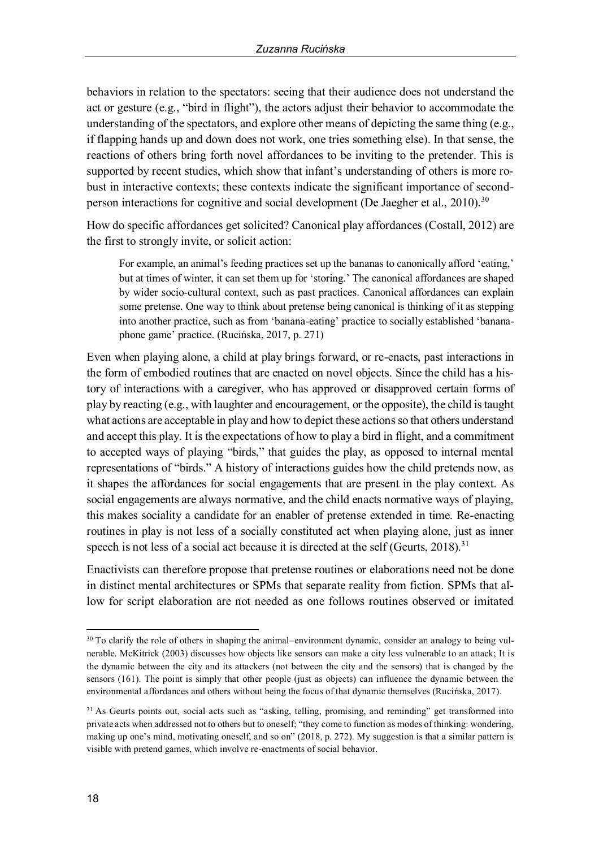behaviors in relation to the spectators: seeing that their audience does not understand the act or gesture (e.g., "bird in flight"), the actors adjust their behavior to accommodate the understanding of the spectators, and explore other means of depicting the same thing (e.g., if flapping hands up and down does not work, one tries something else). In that sense, the reactions of others bring forth novel affordances to be inviting to the pretender. This is supported by recent studies, which show that infant's understanding of others is more robust in interactive contexts; these contexts indicate the significant importance of secondperson interactions for cognitive and social development (De Jaegher et al.,  $2010$ ).<sup>30</sup>

How do specific affordances get solicited? Canonical play affordances (Costall, 2012) are the first to strongly invite, or solicit action:

For example, an animal's feeding practices set up the bananas to canonically afford 'eating,' but at times of winter, it can set them up for 'storing.' The canonical affordances are shaped by wider socio-cultural context, such as past practices. Canonical affordances can explain some pretense. One way to think about pretense being canonical is thinking of it as stepping into another practice, such as from 'banana-eating' practice to socially established 'bananaphone game' practice. (Rucinska, 2017, p. 271)

Even when playing alone, a child at play brings forward, or re-enacts, past interactions in the form of embodied routines that are enacted on novel objects. Since the child has a history of interactions with a caregiver, who has approved or disapproved certain forms of play by reacting (e.g., with laughter and encouragement, or the opposite), the child is taught what actions are acceptable in play and how to depict these actions so that others understand and accept this play. It is the expectations of how to play a bird in flight, and a commitment to accepted ways of playing "birds," that guides the play, as opposed to internal mental representations of "birds." A history of interactions guides how the child pretends now, as it shapes the affordances for social engagements that are present in the play context. As social engagements are always normative, and the child enacts normative ways of playing, this makes sociality a candidate for an enabler of pretense extended in time. Re-enacting routines in play is not less of a socially constituted act when playing alone, just as inner speech is not less of a social act because it is directed at the self (Geurts,  $2018$ ).<sup>31</sup>

Enactivists can therefore propose that pretense routines or elaborations need not be done in distinct mental architectures or SPMs that separate reality from fiction. SPMs that allow for script elaboration are not needed as one follows routines observed or imitated

 <sup>30</sup> To clarify the role of others in shaping the animal–environment dynamic, consider an analogy to being vulnerable. McKitrick (2003) discusses how objects like sensors can make a city less vulnerable to an attack; It is the dynamic between the city and its attackers (not between the city and the sensors) that is changed by the sensors (161). The point is simply that other people (just as objects) can influence the dynamic between the environmental affordances and others without being the focus of that dynamic themselves (Rucinska, 2017).

<sup>31</sup> As Geurts points out, social acts such as "asking, telling, promising, and reminding" get transformed into private acts when addressed not to others but to oneself; "they come to function as modes of thinking: wondering, making up one's mind, motivating oneself, and so on" (2018, p. 272). My suggestion is that a similar pattern is visible with pretend games, which involve re-enactments of social behavior.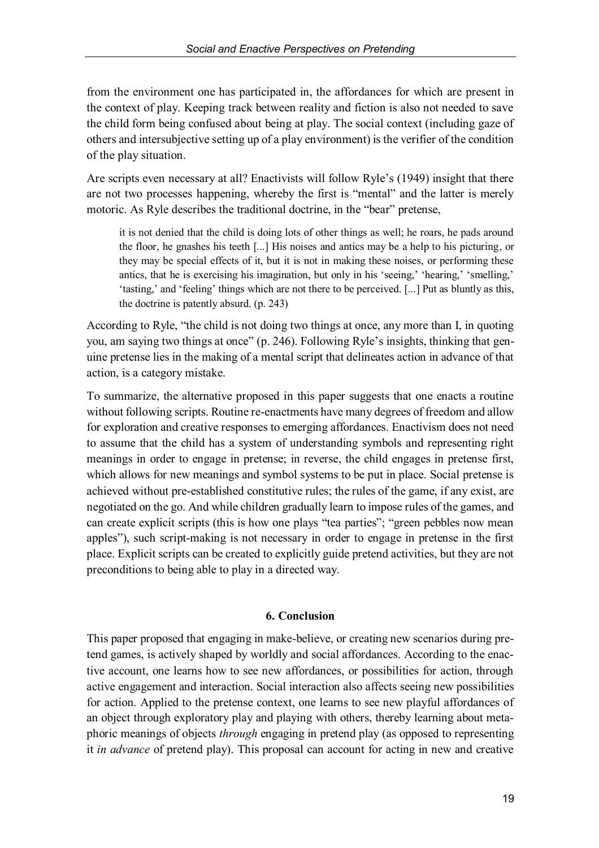from the environment one has participated in, the affordances for which are present in the context of play. Keeping track between reality and fiction is also not needed to save the child form being confused about being at play. The social context (including gaze of others and intersubjective setting up of a play environment) is the verifier of the condition of the play situation.

Are scripts even necessary at all? Enactivists will follow Ryle's (1949) insight that there are not two processes happening, whereby the first is "mental" and the latter is merely motoric. As Ryle describes the traditional doctrine, in the "bear" pretense,

it is not denied that the child is doing lots of other things as well; he roars, he pads around the floor, he gnashes his teeth [...] His noises and antics may be a help to his picturing, or they may be special effects of it, but it is not in making these noises, or performing these antics, that he is exercising his imagination, but only in his 'seeing,' 'hearing,' 'smelling,' 'tasting,' and 'feeling' things which are not there to be perceived. [...] Put as bluntly as this, the doctrine is patently absurd. (p. 243)

According to Ryle, "the child is not doing two things at once, any more than I, in quoting you, am saying two things at once" (p. 246). Following Ryle's insights, thinking that genuine pretense lies in the making of a mental script that delineates action in advance of that action, is a category mistake.

To summarize, the alternative proposed in this paper suggests that one enacts a routine without following scripts. Routine re-enactments have many degrees of freedom and allow for exploration and creative responses to emerging affordances. Enactivism does not need to assume that the child has a system of understanding symbols and representing right meanings in order to engage in pretense; in reverse, the child engages in pretense first, which allows for new meanings and symbol systems to be put in place. Social pretense is achieved without pre-established constitutive rules; the rules of the game, if any exist, are negotiated on the go. And while children gradually learn to impose rules of the games, and can create explicit scripts (this is how one plays "tea parties"; "green pebbles now mean apples"), such script-making is not necessary in order to engage in pretense in the first place. Explicit scripts can be created to explicitly guide pretend activities, but they are not preconditions to being able to play in a directed way.

## **6. Conclusion**

This paper proposed that engaging in make-believe, or creating new scenarios during pretend games, is actively shaped by worldly and social affordances. According to the enactive account, one learns how to see new affordances, or possibilities for action, through active engagement and interaction. Social interaction also affects seeing new possibilities for action. Applied to the pretense context, one learns to see new playful affordances of an object through exploratory play and playing with others, thereby learning about metaphoric meanings of objects *through* engaging in pretend play (as opposed to representing it *in advance* of pretend play). This proposal can account for acting in new and creative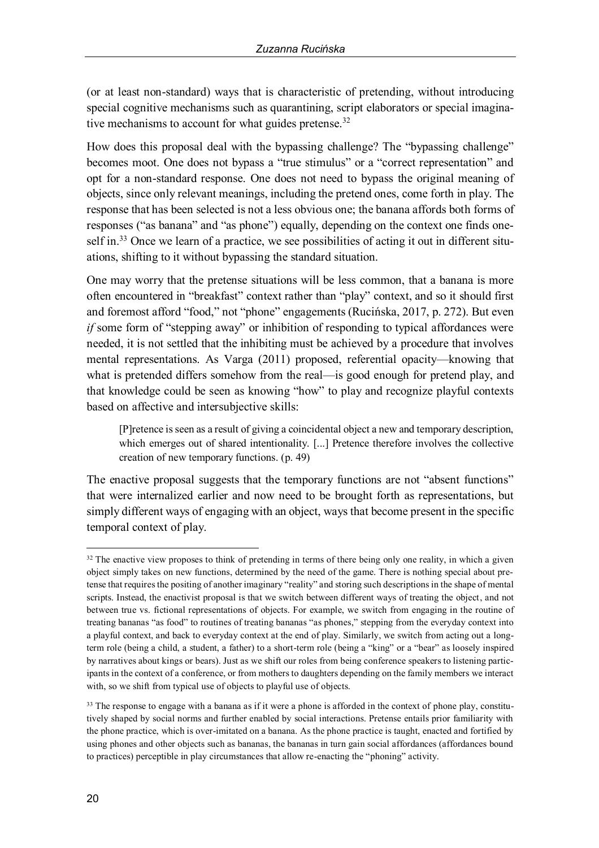(or at least non-standard) ways that is characteristic of pretending, without introducing special cognitive mechanisms such as quarantining, script elaborators or special imaginative mechanisms to account for what guides pretense.<sup>32</sup>

How does this proposal deal with the bypassing challenge? The "bypassing challenge" becomes moot. One does not bypass a "true stimulus" or a "correct representation" and opt for a non-standard response. One does not need to bypass the original meaning of objects, since only relevant meanings, including the pretend ones, come forth in play. The response that has been selected is not a less obvious one; the banana affords both forms of responses ("as banana" and "as phone") equally, depending on the context one finds oneself in.<sup>33</sup> Once we learn of a practice, we see possibilities of acting it out in different situations, shifting to it without bypassing the standard situation.

One may worry that the pretense situations will be less common, that a banana is more often encountered in "breakfast" context rather than "play" context, and so it should first and foremost afford "food," not "phone" engagements (Rucinska, 2017, p. 272). But even *if* some form of "stepping away" or inhibition of responding to typical affordances were needed, it is not settled that the inhibiting must be achieved by a procedure that involves mental representations. As Varga (2011) proposed, referential opacity—knowing that what is pretended differs somehow from the real—is good enough for pretend play, and that knowledge could be seen as knowing "how" to play and recognize playful contexts based on affective and intersubjective skills:

[P]retence is seen as a result of giving a coincidental object a new and temporary description, which emerges out of shared intentionality. [...] Pretence therefore involves the collective creation of new temporary functions. (p. 49)

The enactive proposal suggests that the temporary functions are not "absent functions" that were internalized earlier and now need to be brought forth as representations, but simply different ways of engaging with an object, ways that become present in the specific temporal context of play.

 $32$  The enactive view proposes to think of pretending in terms of there being only one reality, in which a given object simply takes on new functions, determined by the need of the game. There is nothing special about pretense that requiresthe positing of another imaginary "reality" and storing such descriptions in the shape of mental scripts. Instead, the enactivist proposal is that we switch between different ways of treating the object, and not between true vs. fictional representations of objects. For example, we switch from engaging in the routine of treating bananas "as food" to routines of treating bananas "as phones," stepping from the everyday context into a playful context, and back to everyday context at the end of play. Similarly, we switch from acting out a longterm role (being a child, a student, a father) to a short-term role (being a "king" or a "bear" as loosely inspired by narratives about kings or bears). Just as we shift our roles from being conference speakers to listening participants in the context of a conference, or from mothers to daughters depending on the family members we interact with, so we shift from typical use of objects to playful use of objects.

<sup>&</sup>lt;sup>33</sup> The response to engage with a banana as if it were a phone is afforded in the context of phone play, constitutively shaped by social norms and further enabled by social interactions. Pretense entails prior familiarity with the phone practice, which is over-imitated on a banana. As the phone practice is taught, enacted and fortified by using phones and other objects such as bananas, the bananas in turn gain social affordances (affordances bound to practices) perceptible in play circumstances that allow re-enacting the "phoning" activity.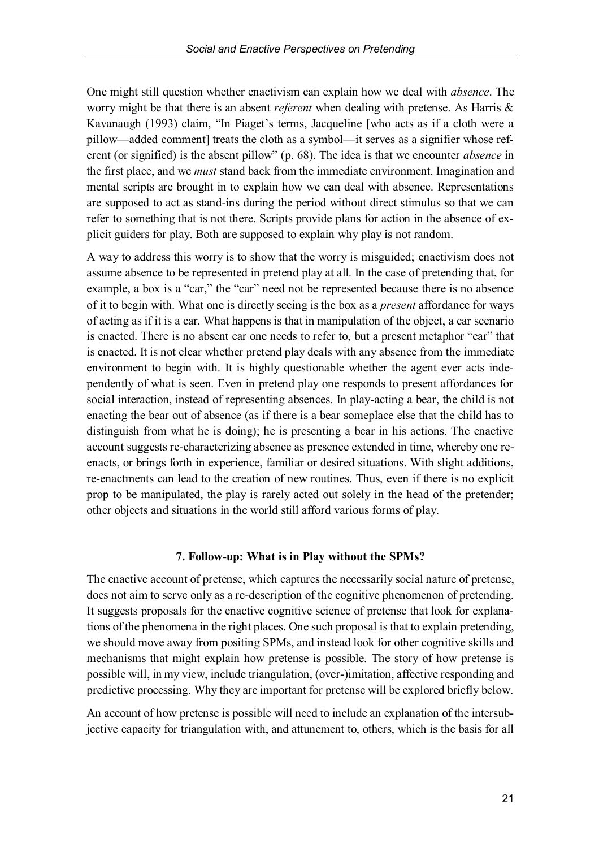One might still question whether enactivism can explain how we deal with *absence*. The worry might be that there is an absent *referent* when dealing with pretense. As Harris & Kavanaugh (1993) claim, "In Piaget's terms, Jacqueline [who acts as if a cloth were a pillow—added comment] treats the cloth as a symbol—it serves as a signifier whose referent (or signified) is the absent pillow" (p. 68). The idea is that we encounter *absence* in the first place, and we *must* stand back from the immediate environment. Imagination and mental scripts are brought in to explain how we can deal with absence. Representations are supposed to act as stand-ins during the period without direct stimulus so that we can refer to something that is not there. Scripts provide plans for action in the absence of explicit guiders for play. Both are supposed to explain why play is not random.

A way to address this worry is to show that the worry is misguided; enactivism does not assume absence to be represented in pretend play at all. In the case of pretending that, for example, a box is a "car," the "car" need not be represented because there is no absence of it to begin with. What one is directly seeing is the box as a *present* affordance for ways of acting as if it is a car. What happens is that in manipulation of the object, a car scenario is enacted. There is no absent car one needs to refer to, but a present metaphor "car" that is enacted. It is not clear whether pretend play deals with any absence from the immediate environment to begin with. It is highly questionable whether the agent ever acts independently of what is seen. Even in pretend play one responds to present affordances for social interaction, instead of representing absences. In play-acting a bear, the child is not enacting the bear out of absence (as if there is a bear someplace else that the child has to distinguish from what he is doing); he is presenting a bear in his actions. The enactive account suggests re-characterizing absence as presence extended in time, whereby one reenacts, or brings forth in experience, familiar or desired situations. With slight additions, re-enactments can lead to the creation of new routines. Thus, even if there is no explicit prop to be manipulated, the play is rarely acted out solely in the head of the pretender; other objects and situations in the world still afford various forms of play.

#### **7. Follow-up: What is in Play without the SPMs?**

The enactive account of pretense, which captures the necessarily social nature of pretense, does not aim to serve only as a re-description of the cognitive phenomenon of pretending. It suggests proposals for the enactive cognitive science of pretense that look for explanations of the phenomena in the right places. One such proposal is that to explain pretending, we should move away from positing SPMs, and instead look for other cognitive skills and mechanisms that might explain how pretense is possible. The story of how pretense is possible will, in my view, include triangulation, (over-)imitation, affective responding and predictive processing. Why they are important for pretense will be explored briefly below.

An account of how pretense is possible will need to include an explanation of the intersubjective capacity for triangulation with, and attunement to, others, which is the basis for all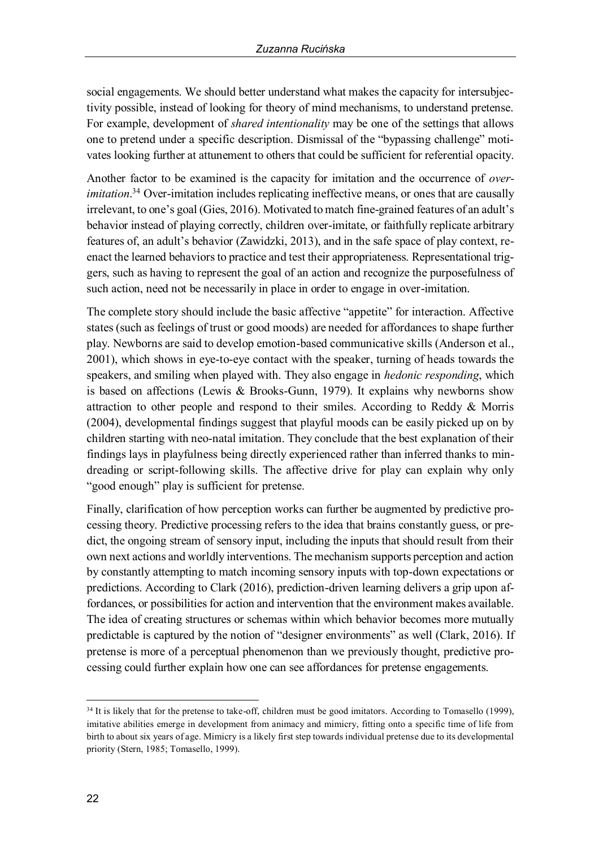social engagements. We should better understand what makes the capacity for intersubjectivity possible, instead of looking for theory of mind mechanisms, to understand pretense. For example, development of *shared intentionality* may be one of the settings that allows one to pretend under a specific description. Dismissal of the "bypassing challenge" motivates looking further at attunement to others that could be sufficient for referential opacity.

Another factor to be examined is the capacity for imitation and the occurrence of *overimitation*. <sup>34</sup> Over-imitation includes replicating ineffective means, or ones that are causally irrelevant, to one's goal (Gies, 2016). Motivated to match fine-grained features of an adult's behavior instead of playing correctly, children over-imitate, or faithfully replicate arbitrary features of, an adult's behavior (Zawidzki, 2013), and in the safe space of play context, reenact the learned behaviors to practice and test their appropriateness. Representational triggers, such as having to represent the goal of an action and recognize the purposefulness of such action, need not be necessarily in place in order to engage in over-imitation.

The complete story should include the basic affective "appetite" for interaction. Affective states (such as feelings of trust or good moods) are needed for affordances to shape further play. Newborns are said to develop emotion-based communicative skills (Anderson et al., 2001), which shows in eye-to-eye contact with the speaker, turning of heads towards the speakers, and smiling when played with. They also engage in *hedonic responding*, which is based on affections (Lewis & Brooks-Gunn, 1979). It explains why newborns show attraction to other people and respond to their smiles. According to Reddy & Morris (2004), developmental findings suggest that playful moods can be easily picked up on by children starting with neo-natal imitation. They conclude that the best explanation of their findings lays in playfulness being directly experienced rather than inferred thanks to mindreading or script-following skills. The affective drive for play can explain why only "good enough" play is sufficient for pretense.

Finally, clarification of how perception works can further be augmented by predictive processing theory. Predictive processing refers to the idea that brains constantly guess, or predict, the ongoing stream of sensory input, including the inputs that should result from their own next actions and worldly interventions. The mechanism supports perception and action by constantly attempting to match incoming sensory inputs with top-down expectations or predictions. According to Clark (2016), prediction-driven learning delivers a grip upon affordances, or possibilities for action and intervention that the environment makes available. The idea of creating structures or schemas within which behavior becomes more mutually predictable is captured by the notion of "designer environments" as well (Clark, 2016). If pretense is more of a perceptual phenomenon than we previously thought, predictive processing could further explain how one can see affordances for pretense engagements.

<sup>&</sup>lt;sup>34</sup> It is likely that for the pretense to take-off, children must be good imitators. According to Tomasello (1999), imitative abilities emerge in development from animacy and mimicry, fitting onto a specific time of life from birth to about six years of age. Mimicry is a likely first step towards individual pretense due to its developmental priority (Stern, 1985; Tomasello, 1999).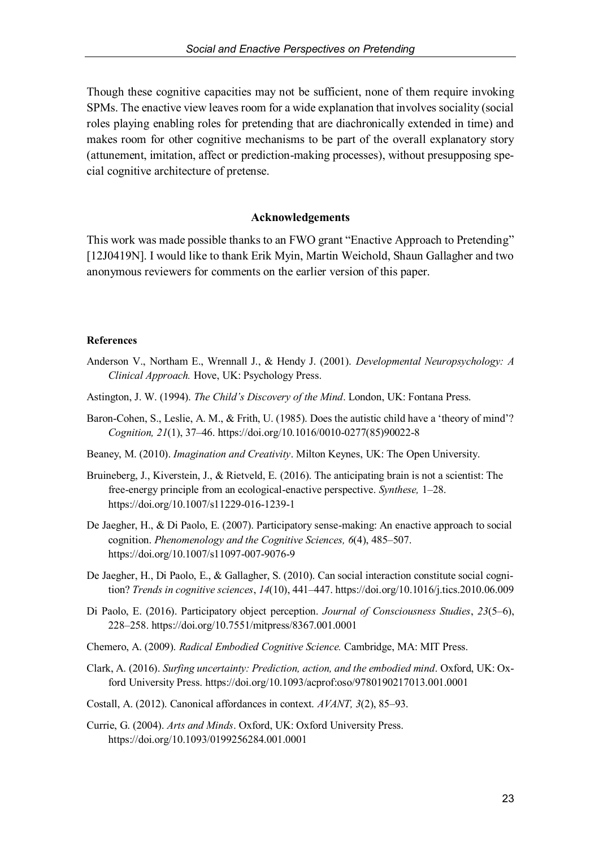Though these cognitive capacities may not be sufficient, none of them require invoking SPMs. The enactive view leaves room for a wide explanation that involves sociality (social roles playing enabling roles for pretending that are diachronically extended in time) and makes room for other cognitive mechanisms to be part of the overall explanatory story (attunement, imitation, affect or prediction-making processes), without presupposing special cognitive architecture of pretense.

## **Acknowledgements**

This work was made possible thanks to an FWO grant "Enactive Approach to Pretending" [12J0419N]. I would like to thank Erik Myin, Martin Weichold, Shaun Gallagher and two anonymous reviewers for comments on the earlier version of this paper.

#### **References**

- Anderson V., Northam E., Wrennall J., & Hendy J. (2001). *Developmental Neuropsychology: A Clinical Approach.* Hove, UK: Psychology Press.
- Astington, J. W. (1994). *The Child's Discovery of the Mind*. London, UK: Fontana Press.
- Baron-Cohen, S., Leslie, A. M., & Frith, U. (1985). Does the autistic child have a 'theory of mind'? *Cognition, 21*(1), 37–46. https://doi.org/10.1016/0010-0277(85)90022-8
- Beaney, M. (2010). *Imagination and Creativity*. Milton Keynes, UK: The Open University.
- Bruineberg, J., Kiverstein, J., & Rietveld, E. (2016). The anticipating brain is not a scientist: The free-energy principle from an ecological-enactive perspective. *Synthese,* 1–28. https://doi.org/10.1007/s11229-016-1239-1
- De Jaegher, H., & Di Paolo, E. (2007). Participatory sense-making: An enactive approach to social cognition. *Phenomenology and the Cognitive Sciences, 6*(4), 485–507. https://doi.org/10.1007/s11097-007-9076-9
- De Jaegher, H., Di Paolo, E., & Gallagher, S. (2010). Can social interaction constitute social cognition? *Trends in cognitive sciences*, *14*(10), 441–447. https://doi.org/10.1016/j.tics.2010.06.009
- Di Paolo, E. (2016). Participatory object perception. *Journal of Consciousness Studies*, *23*(5–6), 228–258. https://doi.org/10.7551/mitpress/8367.001.0001
- Chemero, A. (2009). *Radical Embodied Cognitive Science.* Cambridge, MA: MIT Press.
- Clark, A. (2016). *Surfing uncertainty: Prediction, action, and the embodied mind*. Oxford, UK: Oxford University Press. https://doi.org/10.1093/acprof:oso/9780190217013.001.0001
- Costall, A. (2012). Canonical affordances in context. *AVANT, 3*(2), 85–93.
- Currie, G. (2004). *Arts and Minds*. Oxford, UK: Oxford University Press. https://doi.org/10.1093/0199256284.001.0001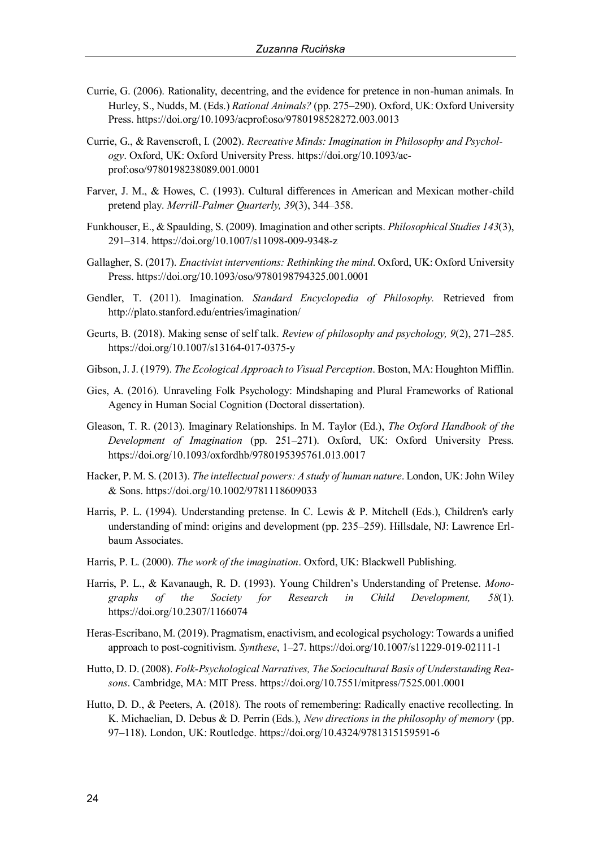- Currie, G. (2006). Rationality, decentring, and the evidence for pretence in non-human animals. In Hurley, S., Nudds, M. (Eds.) *Rational Animals?* (pp. 275–290). Oxford, UK: Oxford University Press. https://doi.org/10.1093/acprof:oso/9780198528272.003.0013
- Currie, G., & Ravenscroft, I. (2002). *Recreative Minds: Imagination in Philosophy and Psychology*. Oxford, UK: Oxford University Press. https://doi.org/10.1093/acprof:oso/9780198238089.001.0001
- Farver, J. M., & Howes, C. (1993). Cultural differences in American and Mexican mother-child pretend play. *Merrill-Palmer Quarterly, 39*(3), 344–358.
- Funkhouser, E., & Spaulding, S. (2009). Imagination and other scripts. *Philosophical Studies 143*(3), 291–314. https://doi.org/10.1007/s11098-009-9348-z
- Gallagher, S. (2017). *Enactivist interventions: Rethinking the mind*. Oxford, UK: Oxford University Press. https://doi.org/10.1093/oso/9780198794325.001.0001
- Gendler, T. (2011). Imagination. *Standard Encyclopedia of Philosophy.* Retrieved from http://plato.stanford.edu/entries/imagination/
- Geurts, B. (2018). Making sense of self talk. *Review of philosophy and psychology, 9*(2), 271–285. https://doi.org/10.1007/s13164-017-0375-y
- Gibson, J. J. (1979). *The Ecological Approach to Visual Perception*. Boston, MA: Houghton Mifflin.
- Gies, A. (2016). Unraveling Folk Psychology: Mindshaping and Plural Frameworks of Rational Agency in Human Social Cognition (Doctoral dissertation).
- Gleason, T. R. (2013). Imaginary Relationships. In M. Taylor (Ed.), *The Oxford Handbook of the Development of Imagination* (pp. 251–271). Oxford, UK: Oxford University Press. https://doi.org/10.1093/oxfordhb/9780195395761.013.0017
- Hacker, P. M. S. (2013). *The intellectual powers: A study of human nature*. London, UK: John Wiley & Sons. https://doi.org/10.1002/9781118609033
- Harris, P. L. (1994). Understanding pretense. In C. Lewis & P. Mitchell (Eds.), Children's early understanding of mind: origins and development (pp. 235–259). Hillsdale, NJ: Lawrence Erlbaum Associates.
- Harris, P. L. (2000). *The work of the imagination*. Oxford, UK: Blackwell Publishing.
- Harris, P. L., & Kavanaugh, R. D. (1993). Young Children's Understanding of Pretense. *Monographs of the Society for Research in Child Development, 58*(1). https://doi.org/10.2307/1166074
- Heras-Escribano, M. (2019). Pragmatism, enactivism, and ecological psychology: Towards a unified approach to post-cognitivism. *Synthese*, 1–27. https://doi.org/10.1007/s11229-019-02111-1
- Hutto, D. D. (2008). *Folk-Psychological Narratives, The Sociocultural Basis of Understanding Reasons*. Cambridge, MA: MIT Press. https://doi.org/10.7551/mitpress/7525.001.0001
- Hutto, D. D., & Peeters, A. (2018). The roots of remembering: Radically enactive recollecting. In K. Michaelian, D. Debus & D. Perrin (Eds.), *New directions in the philosophy of memory* (pp. 97–118). London, UK: Routledge. https://doi.org/10.4324/9781315159591-6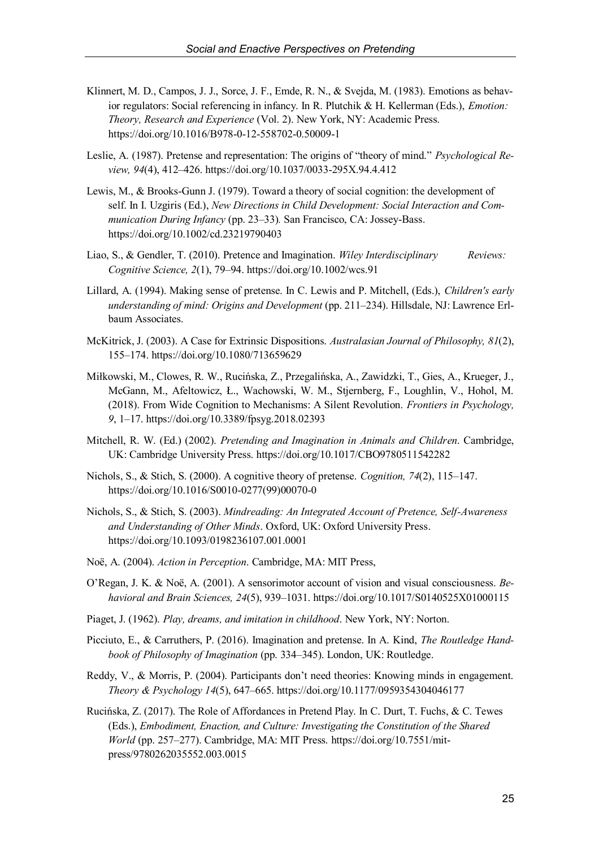- Klinnert, M. D., Campos, J. J., Sorce, J. F., Emde, R. N., & Svejda, M. (1983). Emotions as behavior regulators: Social referencing in infancy. In R. Plutchik & H. Kellerman (Eds.), *Emotion: Theory, Research and Experience* (Vol. 2). New York, NY: Academic Press. https://doi.org/10.1016/B978-0-12-558702-0.50009-1
- Leslie, A. (1987). Pretense and representation: The origins of "theory of mind." *Psychological Review, 94*(4), 412–426. https://doi.org/10.1037/0033-295X.94.4.412
- Lewis, M., & Brooks-Gunn J. (1979). Toward a theory of social cognition: the development of self. In I. Uzgiris (Ed.), *New Directions in Child Development: Social Interaction and Communication During Infancy* (pp. 23–33)*.* San Francisco, CA: Jossey-Bass. https://doi.org/10.1002/cd.23219790403
- Liao, S., & Gendler, T. (2010). Pretence and Imagination. *Wiley Interdisciplinary Reviews: Cognitive Science, 2*(1), 79–94. https://doi.org/10.1002/wcs.91
- Lillard, A. (1994). Making sense of pretense. In C. Lewis and P. Mitchell, (Eds.), *Children's early understanding of mind: Origins and Development* (pp. 211–234). Hillsdale, NJ: Lawrence Erlbaum Associates.
- McKitrick, J. (2003). A Case for Extrinsic Dispositions. *Australasian Journal of Philosophy, 81*(2), 155–174. https://doi.org/10.1080/713659629
- Miłkowski, M., Clowes, R. W., Rucinska, Z., Przegalinska, A., Zawidzki, T., Gies, A., Krueger, J., McGann, M., Afeltowicz, Ł., Wachowski, W. M., Stjernberg, F., Loughlin, V., Hohol, M. (2018). From Wide Cognition to Mechanisms: A Silent Revolution. *Frontiers in Psychology, 9*, 1–17. https://doi.org/10.3389/fpsyg.2018.02393
- Mitchell, R. W. (Ed.) (2002). *Pretending and Imagination in Animals and Children*. Cambridge, UK: Cambridge University Press. https://doi.org/10.1017/CBO9780511542282
- Nichols, S., & Stich, S. (2000). A cognitive theory of pretense. *Cognition, 74*(2), 115–147. https://doi.org/10.1016/S0010-0277(99)00070-0
- Nichols, S., & Stich, S. (2003). *Mindreading: An Integrated Account of Pretence, Self-Awareness and Understanding of Other Minds*. Oxford, UK: Oxford University Press. https://doi.org/10.1093/0198236107.001.0001
- Noë, A. (2004). *Action in Perception*. Cambridge, MA: MIT Press,
- O'Regan, J. K. & Noë, A. (2001). A sensorimotor account of vision and visual consciousness. *Behavioral and Brain Sciences, 24*(5), 939–1031. https://doi.org/10.1017/S0140525X01000115
- Piaget, J. (1962). *Play, dreams, and imitation in childhood*. New York, NY: Norton.
- Picciuto, E., & Carruthers, P. (2016). Imagination and pretense. In A. Kind, *The Routledge Handbook of Philosophy of Imagination* (pp. 334–345). London, UK: Routledge.
- Reddy, V., & Morris, P. (2004). Participants don't need theories: Knowing minds in engagement. *Theory & Psychology 14*(5), 647–665. https://doi.org/10.1177/0959354304046177
- Rucinska, Z. (2017). The Role of Affordances in Pretend Play. In C. Durt, T. Fuchs, & C. Tewes (Eds.), *Embodiment, Enaction, and Culture: Investigating the Constitution of the Shared World* (pp. 257–277). Cambridge, MA: MIT Press. https://doi.org/10.7551/mitpress/9780262035552.003.0015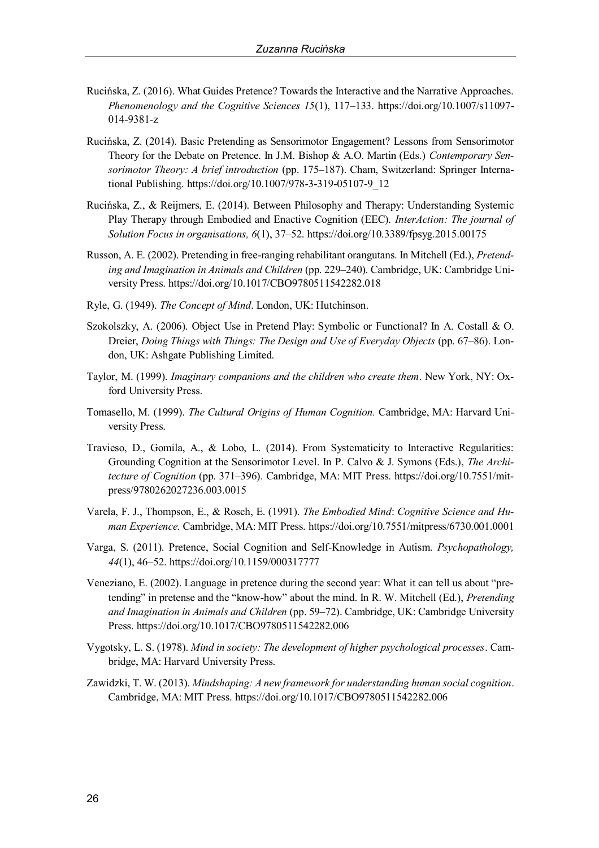- Rucinska, Z. (2016). What Guides Pretence? Towards the Interactive and the Narrative Approaches. *Phenomenology and the Cognitive Sciences 15*(1), 117–133. https://doi.org/10.1007/s11097- 014-9381-z
- Rucinska, Z. (2014). Basic Pretending as Sensorimotor Engagement? Lessons from Sensorimotor Theory for the Debate on Pretence. In J.M. Bishop & A.O. Martin (Eds.) *Contemporary Sensorimotor Theory: A brief introduction* (pp. 175–187). Cham, Switzerland: Springer International Publishing. https://doi.org/10.1007/978-3-319-05107-9\_12
- Rucinska, Z., & Reijmers, E. (2014). Between Philosophy and Therapy: Understanding Systemic Play Therapy through Embodied and Enactive Cognition (EEC). *InterAction: The journal of Solution Focus in organisations, 6*(1), 37–52. https://doi.org/10.3389/fpsyg.2015.00175
- Russon, A. E. (2002). Pretending in free-ranging rehabilitant orangutans. In Mitchell (Ed.), *Pretending and Imagination in Animals and Children* (pp. 229–240). Cambridge, UK: Cambridge University Press. https://doi.org/10.1017/CBO9780511542282.018
- Ryle, G. (1949). *The Concept of Mind*. London, UK: Hutchinson.
- Szokolszky, A. (2006). Object Use in Pretend Play: Symbolic or Functional? In A. Costall & O. Dreier, *Doing Things with Things: The Design and Use of Everyday Objects* (pp. 67–86). London, UK: Ashgate Publishing Limited.
- Taylor, M. (1999). *Imaginary companions and the children who create them*. New York, NY: Oxford University Press.
- Tomasello, M. (1999). *The Cultural Origins of Human Cognition.* Cambridge, MA: Harvard University Press.
- Travieso, D., Gomila, A., & Lobo, L. (2014). From Systematicity to Interactive Regularities: Grounding Cognition at the Sensorimotor Level. In P. Calvo & J. Symons (Eds.), *The Architecture of Cognition* (pp. 371–396). Cambridge, MA: MIT Press. https://doi.org/10.7551/mitpress/9780262027236.003.0015
- Varela, F. J., Thompson, E., & Rosch, E. (1991). *The Embodied Mind*: *Cognitive Science and Human Experience.* Cambridge, MA: MIT Press. https://doi.org/10.7551/mitpress/6730.001.0001
- Varga, S. (2011). Pretence, Social Cognition and Self-Knowledge in Autism. *Psychopathology, 44*(1), 46–52. https://doi.org/10.1159/000317777
- Veneziano, E. (2002). Language in pretence during the second year: What it can tell us about "pretending" in pretense and the "know-how" about the mind. In R. W. Mitchell (Ed.), *Pretending and Imagination in Animals and Children* (pp. 59–72). Cambridge, UK: Cambridge University Press. https://doi.org/10.1017/CBO9780511542282.006
- Vygotsky, L. S. (1978). *Mind in society: The development of higher psychological processes*. Cambridge, MA: Harvard University Press.
- Zawidzki, T. W. (2013). *Mindshaping: A new framework for understanding human social cognition*. Cambridge, MA: MIT Press. https://doi.org/10.1017/CBO9780511542282.006